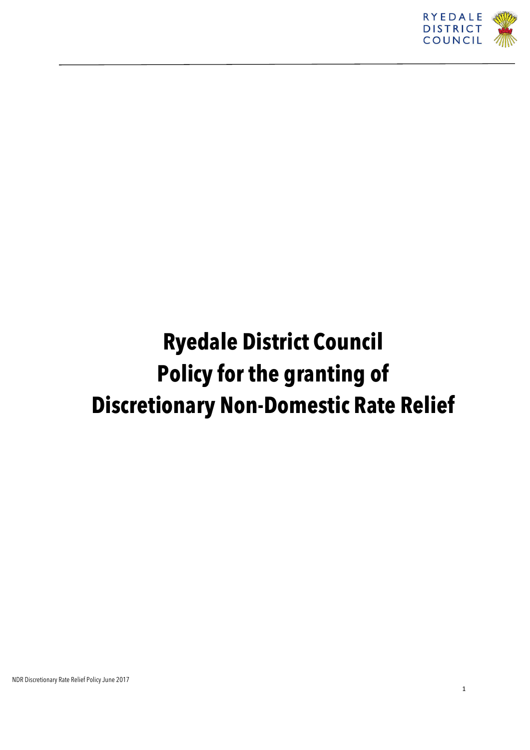

# **Ryedale District Council Policy for the granting of Discretionary Non-Domestic Rate Relief**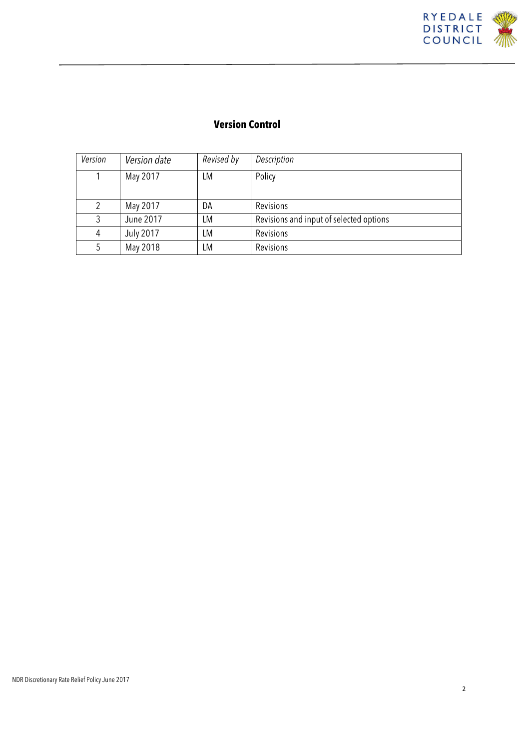

### **Version Control**

| Version | Version date     | Revised by | Description                             |
|---------|------------------|------------|-----------------------------------------|
|         | May 2017         | LM         | Policy                                  |
|         |                  |            |                                         |
| 2       | May 2017         | DA         | Revisions                               |
| 3       | June 2017        | LM         | Revisions and input of selected options |
| 4       | <b>July 2017</b> | LМ         | Revisions                               |
| 5       | May 2018         | LМ         | Revisions                               |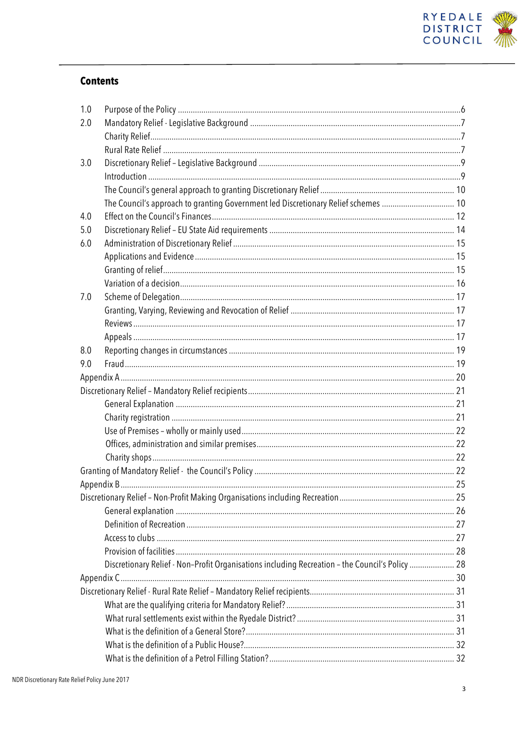

#### **Contents**

| 1.0 |                                                                                                 |  |
|-----|-------------------------------------------------------------------------------------------------|--|
| 2.0 |                                                                                                 |  |
|     |                                                                                                 |  |
|     |                                                                                                 |  |
| 3.0 |                                                                                                 |  |
|     |                                                                                                 |  |
|     |                                                                                                 |  |
|     | The Council's approach to granting Government led Discretionary Relief schemes  10              |  |
| 4.0 |                                                                                                 |  |
| 5.0 |                                                                                                 |  |
| 6.0 |                                                                                                 |  |
|     |                                                                                                 |  |
|     |                                                                                                 |  |
|     |                                                                                                 |  |
| 7.0 |                                                                                                 |  |
|     |                                                                                                 |  |
|     |                                                                                                 |  |
|     |                                                                                                 |  |
| 8.0 |                                                                                                 |  |
| 9.0 |                                                                                                 |  |
|     |                                                                                                 |  |
|     |                                                                                                 |  |
|     |                                                                                                 |  |
|     |                                                                                                 |  |
|     |                                                                                                 |  |
|     |                                                                                                 |  |
|     |                                                                                                 |  |
|     |                                                                                                 |  |
|     |                                                                                                 |  |
|     |                                                                                                 |  |
|     |                                                                                                 |  |
|     |                                                                                                 |  |
|     |                                                                                                 |  |
|     |                                                                                                 |  |
|     | Discretionary Relief - Non-Profit Organisations including Recreation - the Council's Policy  28 |  |
|     |                                                                                                 |  |
|     |                                                                                                 |  |
|     |                                                                                                 |  |
|     |                                                                                                 |  |
|     |                                                                                                 |  |
|     |                                                                                                 |  |
|     |                                                                                                 |  |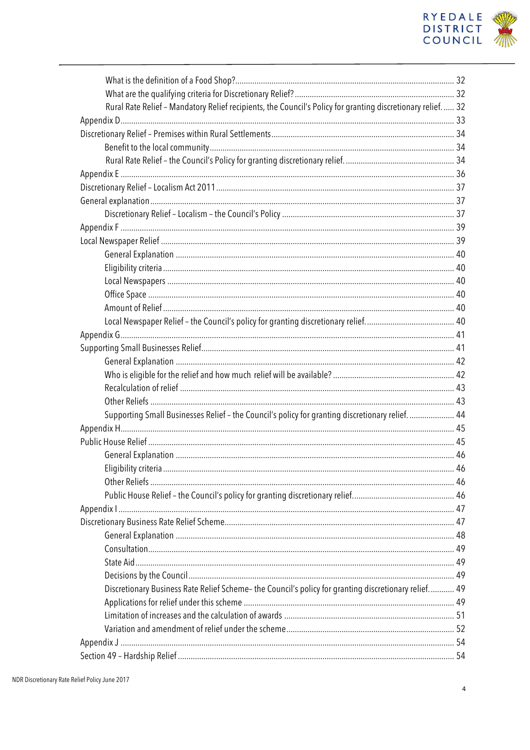

| Rural Rate Relief - Mandatory Relief recipients, the Council's Policy for granting discretionary relief 32 |  |
|------------------------------------------------------------------------------------------------------------|--|
|                                                                                                            |  |
|                                                                                                            |  |
|                                                                                                            |  |
|                                                                                                            |  |
|                                                                                                            |  |
|                                                                                                            |  |
|                                                                                                            |  |
|                                                                                                            |  |
|                                                                                                            |  |
|                                                                                                            |  |
|                                                                                                            |  |
|                                                                                                            |  |
|                                                                                                            |  |
|                                                                                                            |  |
|                                                                                                            |  |
|                                                                                                            |  |
|                                                                                                            |  |
|                                                                                                            |  |
|                                                                                                            |  |
|                                                                                                            |  |
|                                                                                                            |  |
|                                                                                                            |  |
| Supporting Small Businesses Relief - the Council's policy for granting discretionary relief.  44           |  |
|                                                                                                            |  |
|                                                                                                            |  |
|                                                                                                            |  |
|                                                                                                            |  |
|                                                                                                            |  |
|                                                                                                            |  |
|                                                                                                            |  |
|                                                                                                            |  |
|                                                                                                            |  |
|                                                                                                            |  |
|                                                                                                            |  |
|                                                                                                            |  |
| Discretionary Business Rate Relief Scheme- the Council's policy for granting discretionary relief 49       |  |
|                                                                                                            |  |
|                                                                                                            |  |
|                                                                                                            |  |
|                                                                                                            |  |
|                                                                                                            |  |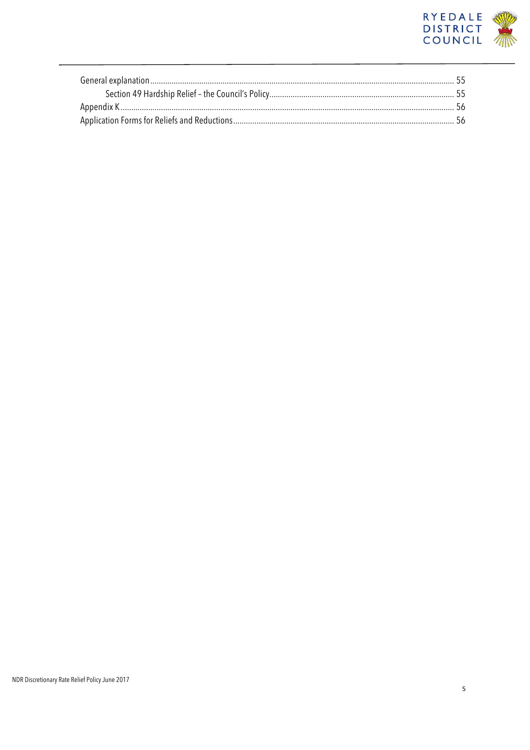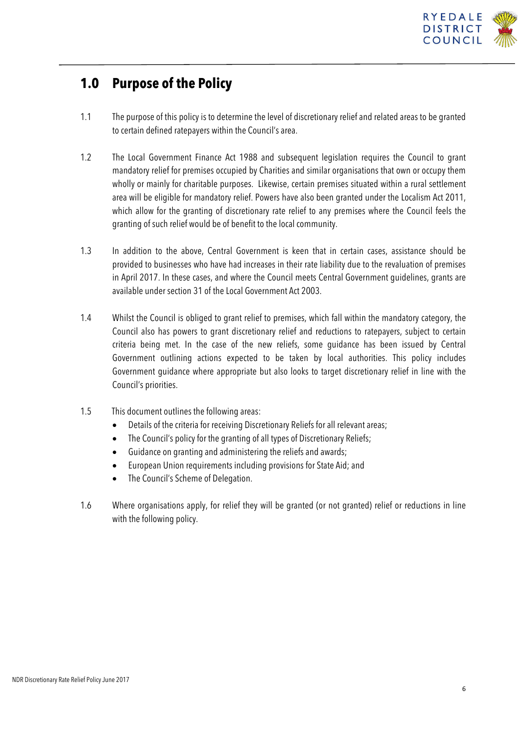

## **1.0 Purpose of the Policy**

- 1.1 The purpose of this policy is to determine the level of discretionary relief and related areas to be granted to certain defined ratepayers within the Council's area.
- 1.2 The Local Government Finance Act 1988 and subsequent legislation requires the Council to grant mandatory relief for premises occupied by Charities and similar organisations that own or occupy them wholly or mainly for charitable purposes. Likewise, certain premises situated within a rural settlement area will be eligible for mandatory relief. Powers have also been granted under the Localism Act 2011, which allow for the granting of discretionary rate relief to any premises where the Council feels the granting of such relief would be of benefit to the local community.
- 1.3 In addition to the above, Central Government is keen that in certain cases, assistance should be provided to businesses who have had increases in their rate liability due to the revaluation of premises in April 2017. In these cases, and where the Council meets Central Government guidelines, grants are available under section 31 of the Local Government Act 2003.
- 1.4 Whilst the Council is obliged to grant relief to premises, which fall within the mandatory category, the Council also has powers to grant discretionary relief and reductions to ratepayers, subject to certain criteria being met. In the case of the new reliefs, some guidance has been issued by Central Government outlining actions expected to be taken by local authorities. This policy includes Government guidance where appropriate but also looks to target discretionary relief in line with the Council's priorities.
- 1.5 This document outlines the following areas:
	- Details of the criteria for receiving Discretionary Reliefs for all relevant areas;
	- The Council's policy for the granting of all types of Discretionary Reliefs;
	- Guidance on granting and administering the reliefs and awards;
	- European Union requirements including provisions for State Aid; and
	- The Council's Scheme of Delegation.
- 1.6 Where organisations apply, for relief they will be granted (or not granted) relief or reductions in line with the following policy.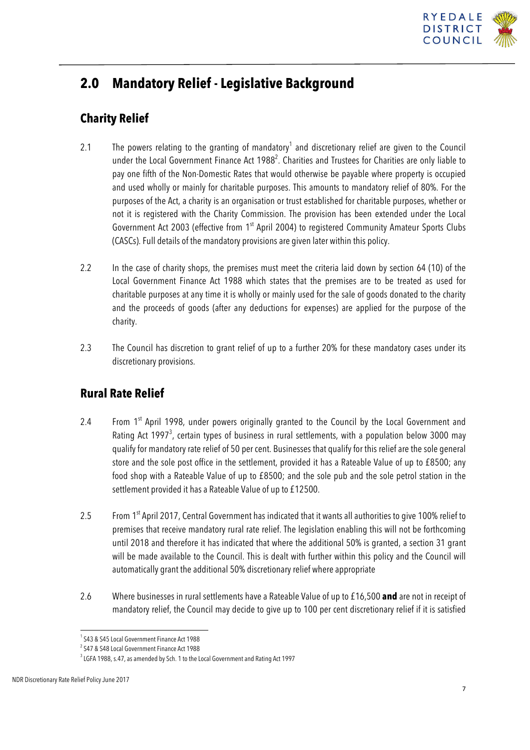

## **2.0 Mandatory Relief - Legislative Background**

### **Charity Relief**

- 2.1 The powers relating to the granting of mandatory<sup>1</sup> and discretionary relief are given to the Council under the Local Government Finance Act 1988<sup>2</sup>. Charities and Trustees for Charities are only liable to pay one fifth of the Non-Domestic Rates that would otherwise be payable where property is occupied and used wholly or mainly for charitable purposes. This amounts to mandatory relief of 80%. For the purposes of the Act, a charity is an organisation or trust established for charitable purposes, whether or not it is registered with the Charity Commission. The provision has been extended under the Local Government Act 2003 (effective from 1<sup>st</sup> April 2004) to registered Community Amateur Sports Clubs (CASCs).Full details of the mandatory provisions are given later within this policy.
- 2.2 In the case of charity shops, the premises must meet the criteria laid down by section 64 (10) of the Local Government Finance Act 1988 which states that the premises are to be treated as used for charitable purposes at any time it is wholly or mainly used for the sale of goods donated to the charity and the proceeds of goods (after any deductions for expenses) are applied for the purpose of the charity.
- 2.3 The Council has discretion to grant relief of up to a further 20% for these mandatory cases under its discretionary provisions.

### **Rural Rate Relief**

- 2.4 From 1<sup>st</sup> April 1998, under powers originally granted to the Council by the Local Government and Rating Act 1997<sup>3</sup>, certain types of business in rural settlements, with a population below 3000 may qualify for mandatory rate relief of 50 per cent. Businesses that qualify for this relief are the sole general store and the sole post office in the settlement, provided it has a Rateable Value of up to £8500; any food shop with a Rateable Value of up to £8500; and the sole pub and the sole petrol station in the settlement provided it has a Rateable Value of up to £12500.
- 2.5 From 1<sup>st</sup> April 2017, Central Government has indicated that it wants all authorities to give 100% relief to premises that receive mandatory rural rate relief. The legislation enabling this will not be forthcoming until 2018 and therefore it has indicated that where the additional 50% is granted, a section 31 grant will be made available to the Council. This is dealt with further within this policy and the Council will automatically grant the additional 50% discretionary relief where appropriate
- 2.6 Where businesses in rural settlements have a Rateable Value of up to £16,500 **and** are not in receipt of mandatory relief, the Council may decide to give up to 100 per cent discretionary relief if it is satisfied

<sup>&</sup>lt;sup>1</sup> S43 & S45 Local Government Finance Act 1988

<sup>&</sup>lt;sup>2</sup> S47 & S48 Local Government Finance Act 1988

 $^3$  LGFA 1988, s.47, as amended by Sch. 1 to the Local Government and Rating Act 1997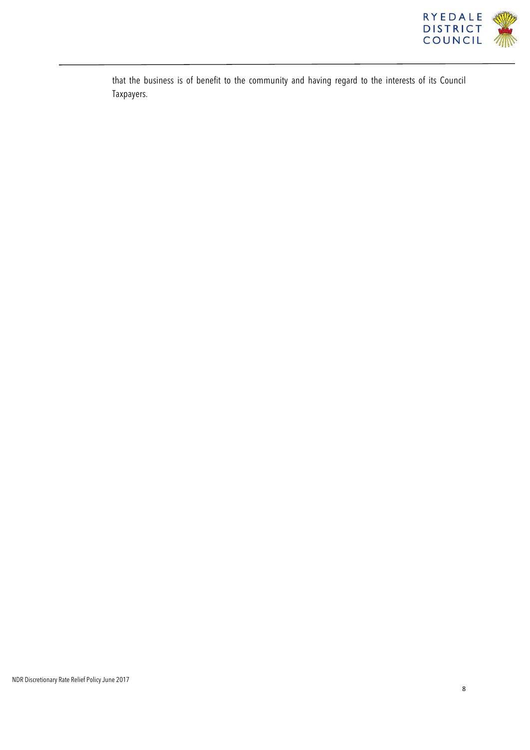

that the business is of benefit to the community and having regard to the interests of its Council Taxpayers.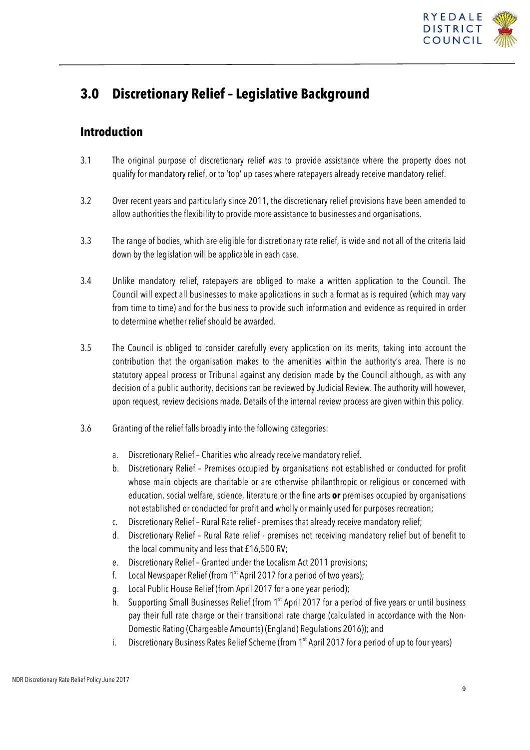

## **3.0 Discretionary Relief – Legislative Background**

### **Introduction**

- 3.1 The original purpose of discretionary relief was to provide assistance where the property does not qualify for mandatory relief, or to 'top' up cases where ratepayers already receive mandatory relief.
- 3.2 Over recent years and particularly since 2011, the discretionary relief provisions have been amended to allow authorities the flexibility to provide more assistance to businesses and organisations.
- 3.3 The range of bodies, which are eligible for discretionary rate relief, is wide and not all of the criteria laid down by the legislation will be applicable in each case.
- 3.4 Unlike mandatory relief, ratepayers are obliged to make a written application to the Council. The Council will expect all businesses to make applications in such a format as is required (which may vary from time to time) and for the business to provide such information and evidence as required in order to determine whether relief should be awarded.
- 3.5 The Council is obliged to consider carefully every application on its merits, taking into account the contribution that the organisation makes to the amenities within the authority's area. There is no statutory appeal process or Tribunal against any decision made by the Council although, as with any decision of a public authority, decisions can be reviewed by Judicial Review. The authority will however, upon request, review decisions made. Details of the internal review process are given within this policy.
- 3.6 Granting of the relief falls broadly into the following categories:
	- a. Discretionary Relief Charities who already receive mandatory relief.
	- b. Discretionary Relief Premises occupied by organisations not established or conducted for profit whose main objects are charitable or are otherwise philanthropic or religious or concerned with education, social welfare, science, literature or the fine arts **or** premises occupied by organisations not established or conducted for profit and wholly or mainly used for purposes recreation;
	- c. Discretionary Relief Rural Rate relief premises that already receive mandatory relief;
	- d. Discretionary Relief Rural Rate relief premises not receiving mandatory relief but of benefit to the local community and less that £16,500 RV;
	- e. Discretionary Relief Granted under the Localism Act 2011 provisions;
	- f. Local Newspaper Relief (from  $1<sup>st</sup>$  April 2017 for a period of two years);
	- g. Local Public House Relief (from April 2017 for a one year period);
	- h. Supporting Small Businesses Relief (from 1<sup>st</sup> April 2017 for a period of five years or until business pay their full rate charge or their transitional rate charge (calculated in accordance with the Non-Domestic Rating (Chargeable Amounts) (England) Regulations 2016)); and
	- i. Discretionary Business Rates Relief Scheme (from  $1<sup>st</sup>$  April 2017 for a period of up to four years)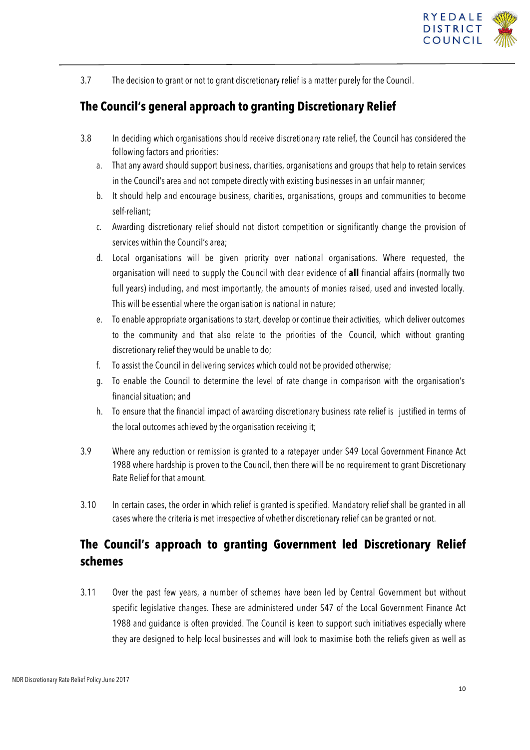

3.7 The decision to grant or not to grant discretionary relief is a matter purely for the Council.

### **The Council's general approach to granting Discretionary Relief**

- 3.8 In deciding which organisations should receive discretionary rate relief, the Council has considered the following factors and priorities:
	- a. That any award should support business, charities, organisations and groups that help to retain services in the Council's area and not compete directly with existing businesses in an unfair manner;
	- b. It should help and encourage business, charities, organisations, groups and communities to become self-reliant;
	- c. Awarding discretionary relief should not distort competition or significantly change the provision of services within the Council's area;
	- d. Local organisations will be given priority over national organisations. Where requested, the organisation will need to supply the Council with clear evidence of **all** financial affairs (normally two full years) including, and most importantly, the amounts of monies raised, used and invested locally. This will be essential where the organisation is national in nature;
	- e. To enable appropriate organisations to start, develop or continue their activities, which deliver outcomes to the community and that also relate to the priorities of the Council, which without granting discretionary relief they would be unable to do;
	- f. To assist the Council in delivering services which could not be provided otherwise;
	- g. To enable the Council to determine the level of rate change in comparison with the organisation's financial situation; and
	- h. To ensure that the financial impact of awarding discretionary business rate relief is justified in terms of the local outcomes achieved by the organisation receiving it;
- 3.9 Where any reduction or remission is granted to a ratepayer under S49 Local Government Finance Act 1988 where hardship is proven to the Council, then there will be no requirement to grant Discretionary Rate Relief for that amount.
- 3.10 In certain cases, the order in which relief is granted is specified. Mandatory relief shall be granted in all cases where the criteria is met irrespective of whether discretionary relief can be granted or not.

### **The Council's approach to granting Government led Discretionary Relief schemes**

3.11 Over the past few years, a number of schemes have been led by Central Government but without specific legislative changes. These are administered under S47 of the Local Government Finance Act 1988 and guidance is often provided. The Council is keen to support such initiatives especially where they are designed to help local businesses and will look to maximise both the reliefs given as well as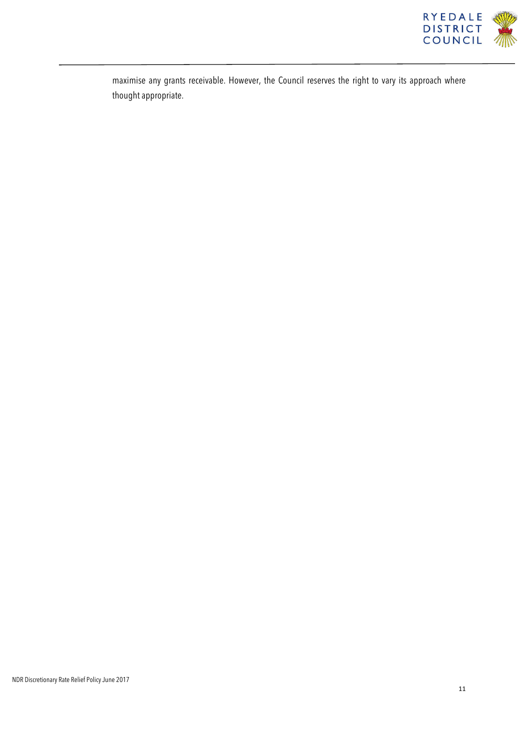

maximise any grants receivable. However, the Council reserves the right to vary its approach where thought appropriate.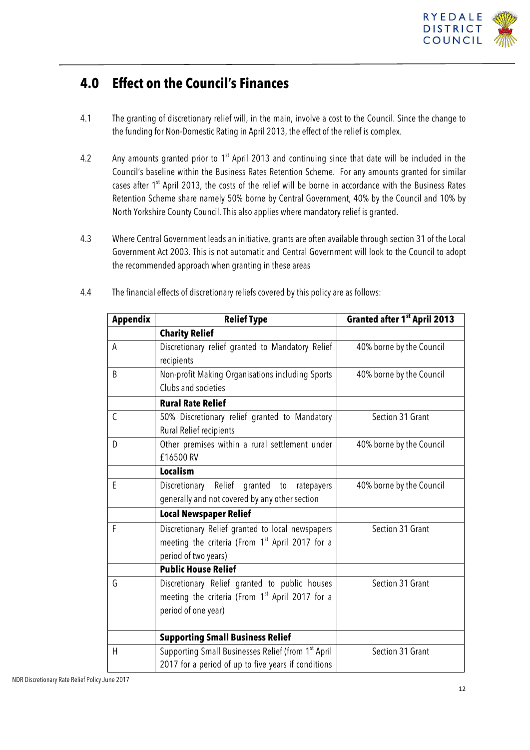

### **4.0 Effect on the Council's Finances**

- 4.1 The granting of discretionary relief will, in the main, involve a cost to the Council. Since the change to the funding for Non-Domestic Rating in April 2013, the effect of the relief is complex.
- 4.2 Any amounts granted prior to  $1^{st}$  April 2013 and continuing since that date will be included in the Council's baseline within the Business Rates Retention Scheme. For any amounts granted for similar cases after 1<sup>st</sup> April 2013, the costs of the relief will be borne in accordance with the Business Rates Retention Scheme share namely 50% borne by Central Government, 40% by the Council and 10% by North Yorkshire County Council. This also applies where mandatory relief is granted.
- 4.3 Where Central Government leads an initiative, grants are often available through section 31 of the Local Government Act 2003. This is not automatic and Central Government will look to the Council to adopt the recommended approach when granting in these areas

| <b>Appendix</b> | <b>Relief Type</b>                                          | Granted after 1 <sup>st</sup> April 2013 |  |
|-----------------|-------------------------------------------------------------|------------------------------------------|--|
|                 | <b>Charity Relief</b>                                       |                                          |  |
| A               | Discretionary relief granted to Mandatory Relief            | 40% borne by the Council                 |  |
|                 | recipients                                                  |                                          |  |
| B               | Non-profit Making Organisations including Sports            | 40% borne by the Council                 |  |
|                 | Clubs and societies                                         |                                          |  |
|                 | <b>Rural Rate Relief</b>                                    |                                          |  |
| $\mathsf{C}$    | 50% Discretionary relief granted to Mandatory               | Section 31 Grant                         |  |
|                 | Rural Relief recipients                                     |                                          |  |
| D               | Other premises within a rural settlement under              | 40% borne by the Council                 |  |
|                 | £16500 RV                                                   |                                          |  |
|                 | <b>Localism</b>                                             |                                          |  |
| E               | Discretionary Relief granted to<br>ratepayers               | 40% borne by the Council                 |  |
|                 | generally and not covered by any other section              |                                          |  |
|                 | <b>Local Newspaper Relief</b>                               |                                          |  |
| F               | Discretionary Relief granted to local newspapers            | Section 31 Grant                         |  |
|                 | meeting the criteria (From 1 <sup>st</sup> April 2017 for a |                                          |  |
|                 | period of two years)                                        |                                          |  |
|                 | <b>Public House Relief</b>                                  |                                          |  |
| G               | Discretionary Relief granted to public houses               | Section 31 Grant                         |  |
|                 | meeting the criteria (From 1 <sup>st</sup> April 2017 for a |                                          |  |
|                 | period of one year)                                         |                                          |  |
|                 | <b>Supporting Small Business Relief</b>                     |                                          |  |
| H               | Supporting Small Businesses Relief (from 1st April          | Section 31 Grant                         |  |
|                 | 2017 for a period of up to five years if conditions         |                                          |  |

4.4 The financial effects of discretionary reliefs covered by this policy are as follows: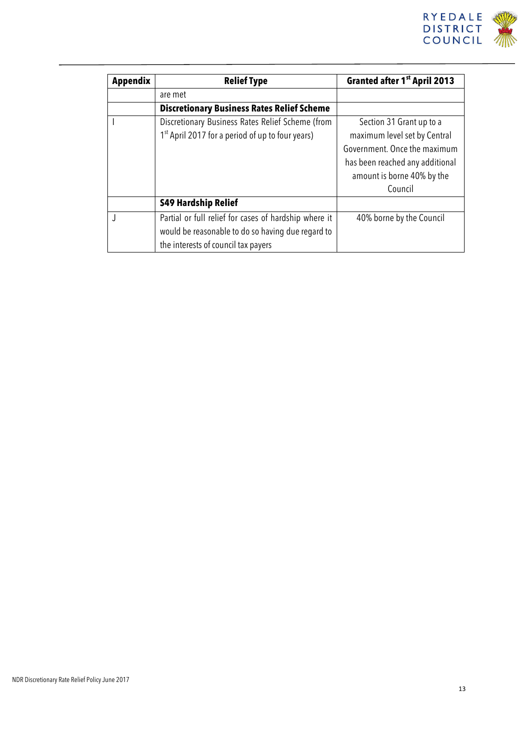

| <b>Appendix</b> | <b>Relief Type</b>                                                                                                                                | Granted after 1 <sup>st</sup> April 2013                                                                                                                             |
|-----------------|---------------------------------------------------------------------------------------------------------------------------------------------------|----------------------------------------------------------------------------------------------------------------------------------------------------------------------|
|                 | are met                                                                                                                                           |                                                                                                                                                                      |
|                 | <b>Discretionary Business Rates Relief Scheme</b>                                                                                                 |                                                                                                                                                                      |
|                 | Discretionary Business Rates Relief Scheme (from<br>1 <sup>st</sup> April 2017 for a period of up to four years)                                  | Section 31 Grant up to a<br>maximum level set by Central<br>Government. Once the maximum<br>has been reached any additional<br>amount is borne 40% by the<br>Council |
|                 | <b>S49 Hardship Relief</b>                                                                                                                        |                                                                                                                                                                      |
|                 | Partial or full relief for cases of hardship where it<br>would be reasonable to do so having due regard to<br>the interests of council tax payers | 40% borne by the Council                                                                                                                                             |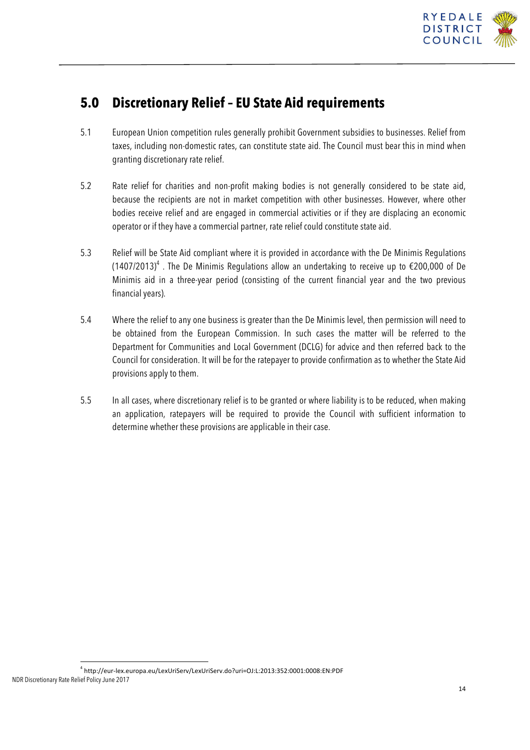

### **5.0 Discretionary Relief – EU State Aid requirements**

- 5.1 European Union competition rules generally prohibit Government subsidies to businesses. Relief from taxes, including non-domestic rates, can constitute state aid. The Council must bear this in mind when granting discretionary rate relief.
- 5.2 Rate relief for charities and non-profit making bodies is not generally considered to be state aid, because the recipients are not in market competition with other businesses. However, where other bodies receive relief and are engaged in commercial activities or if they are displacing an economic operator or if they have a commercial partner, rate relief could constitute state aid.
- 5.3 Relief will be State Aid compliant where it is provided in accordance with the De Minimis Regulations (1407/2013)<sup>4</sup>. The De Minimis Regulations allow an undertaking to receive up to  $\epsilon$ 200,000 of De Minimis aid in a three-year period (consisting of the current financial year and the two previous financial years).
- 5.4 Where the relief to any one business is greater than the De Minimis level, then permission will need to be obtained from the European Commission. In such cases the matter will be referred to the Department for Communities and Local Government (DCLG) for advice and then referred back to the Council for consideration. It will be for the ratepayer to provide confirmation as to whether the State Aid provisions apply to them.
- 5.5 In all cases, where discretionary relief is to be granted or where liability is to be reduced, when making an application, ratepayers will be required to provide the Council with sufficient information to determine whether these provisions are applicable in their case.

NDR Discretionary Rate Relief Policy June 2017 <sup>4</sup> http://eur-lex.europa.eu/LexUriServ/LexUriServ.do?uri=OJ:L:2013:352:0001:0008:EN:PDF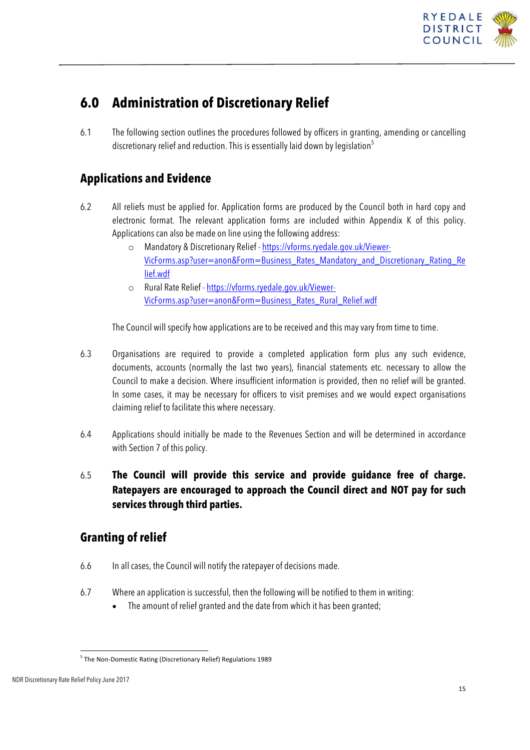

## **6.0 Administration of Discretionary Relief**

6.1 The following section outlines the procedures followed by officers in granting, amending or cancelling discretionary relief and reduction. This is essentially laid down by legislation<sup>5</sup>

### **Applications and Evidence**

- 6.2 All reliefs must be applied for. Application forms are produced by the Council both in hard copy and electronic format. The relevant application forms are included within Appendix K of this policy. Applications can also be made on line using the following address:
	- o Mandatory & Discretionary Relief https://vforms.ryedale.gov.uk/Viewer-VicForms.asp?user=anon&Form=Business\_Rates\_Mandatory\_and\_Discretionary\_Rating\_Re lief.wdf
	- o Rural Rate Relief https://vforms.ryedale.gov.uk/Viewer-VicForms.asp?user=anon&Form=Business\_Rates\_Rural\_Relief.wdf

The Council will specify how applications are to be received and this may vary from time to time.

- 6.3 Organisations are required to provide a completed application form plus any such evidence, documents, accounts (normally the last two years), financial statements etc. necessary to allow the Council to make a decision. Where insufficient information is provided, then no relief will be granted. In some cases, it may be necessary for officers to visit premises and we would expect organisations claiming relief to facilitate this where necessary.
- 6.4 Applications should initially be made to the Revenues Section and will be determined in accordance with Section 7 of this policy.
- 6.5 **The Council will provide this service and provide guidance free of charge. Ratepayers are encouraged to approach the Council direct and NOT pay for such services through third parties.**

### **Granting of relief**

- 6.6 In all cases, the Council will notify the ratepayer of decisions made.
- 6.7 Where an application is successful, then the following will be notified to them in writing:
	- The amount of relief granted and the date from which it has been granted;

 $<sup>5</sup>$  The Non-Domestic Rating (Discretionary Relief) Regulations 1989</sup>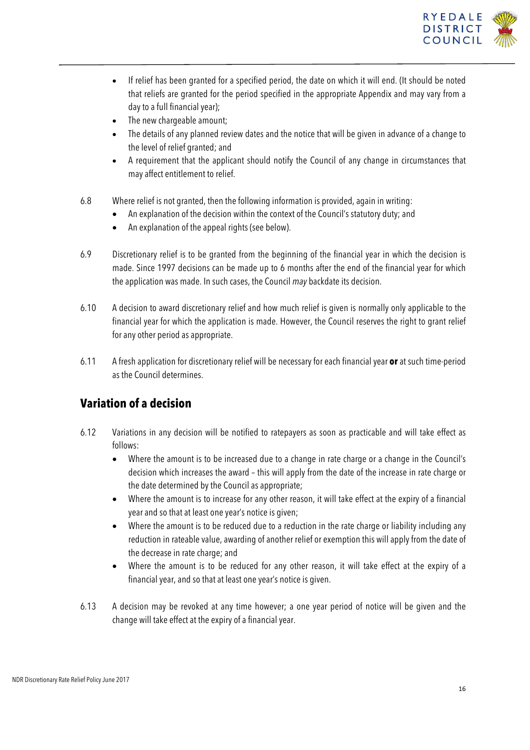

- If relief has been granted for a specified period, the date on which it will end. (It should be noted that reliefs are granted for the period specified in the appropriate Appendix and may vary from a day to a full financial year);
- The new chargeable amount;
- The details of any planned review dates and the notice that will be given in advance of a change to the level of relief granted; and
- A requirement that the applicant should notify the Council of any change in circumstances that may affect entitlement to relief.
- 6.8 Where relief is not granted, then the following information is provided, again in writing:
	- An explanation of the decision within the context of the Council's statutory duty; and
	- An explanation of the appeal rights (see below).
- 6.9 Discretionary relief is to be granted from the beginning of the financial year in which the decision is made. Since 1997 decisions can be made up to 6 months after the end of the financial year for which the application was made. In such cases, the Council *may* backdate its decision.
- 6.10 A decision to award discretionary relief and how much relief is given is normally only applicable to the financial year for which the application is made. However, the Council reserves the right to grant relief for any other period as appropriate.
- 6.11 A fresh application for discretionary relief will be necessary for each financial year **or** at such time-period as the Council determines.

### **Variation of a decision**

- 6.12 Variations in any decision will be notified to ratepayers as soon as practicable and will take effect as follows:
	- Where the amount is to be increased due to a change in rate charge or a change in the Council's decision which increases the award – this will apply from the date of the increase in rate charge or the date determined by the Council as appropriate;
	- Where the amount is to increase for any other reason, it will take effect at the expiry of a financial year and so that at least one year's notice is given;
	- Where the amount is to be reduced due to a reduction in the rate charge or liability including any reduction in rateable value, awarding of another relief or exemption this will apply from the date of the decrease in rate charge; and
	- Where the amount is to be reduced for any other reason, it will take effect at the expiry of a financial year, and so that at least one year's notice is given.
- 6.13 A decision may be revoked at any time however; a one year period of notice will be given and the change will take effect at the expiry of a financial year.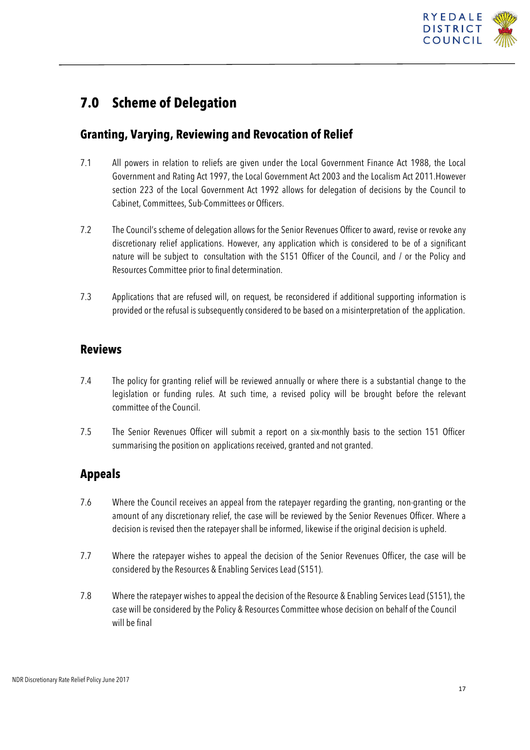

### **7.0 Scheme of Delegation**

### **Granting, Varying, Reviewing and Revocation of Relief**

- 7.1 All powers in relation to reliefs are given under the Local Government Finance Act 1988, the Local Government and Rating Act 1997, the Local Government Act 2003 and the Localism Act 2011.However section 223 of the Local Government Act 1992 allows for delegation of decisions by the Council to Cabinet, Committees, Sub-Committees or Officers.
- 7.2 The Council's scheme of delegation allows for the Senior Revenues Officer to award, revise or revoke any discretionary relief applications. However, any application which is considered to be of a significant nature will be subject to consultation with the S151 Officer of the Council, and / or the Policy and Resources Committee prior to final determination.
- 7.3 Applications that are refused will, on request, be reconsidered if additional supporting information is provided or the refusal is subsequently considered to be based on a misinterpretation of the application.

#### **Reviews**

- 7.4 The policy for granting relief will be reviewed annually or where there is a substantial change to the legislation or funding rules. At such time, a revised policy will be brought before the relevant committee of the Council.
- 7.5 The Senior Revenues Officer will submit a report on a six-monthly basis to the section 151 Officer summarising the position on applications received, granted and not granted.

### **Appeals**

- 7.6 Where the Council receives an appeal from the ratepayer regarding the granting, non-granting or the amount of any discretionary relief, the case will be reviewed by the Senior Revenues Officer. Where a decision is revised then the ratepayer shall be informed, likewise if the original decision is upheld.
- 7.7 Where the ratepayer wishes to appeal the decision of the Senior Revenues Officer, the case will be considered by the Resources & Enabling Services Lead (S151).
- 7.8 Where the ratepayer wishes to appeal the decision of the Resource & Enabling Services Lead (S151), the case will be considered by the Policy & Resources Committee whose decision on behalf of the Council will be final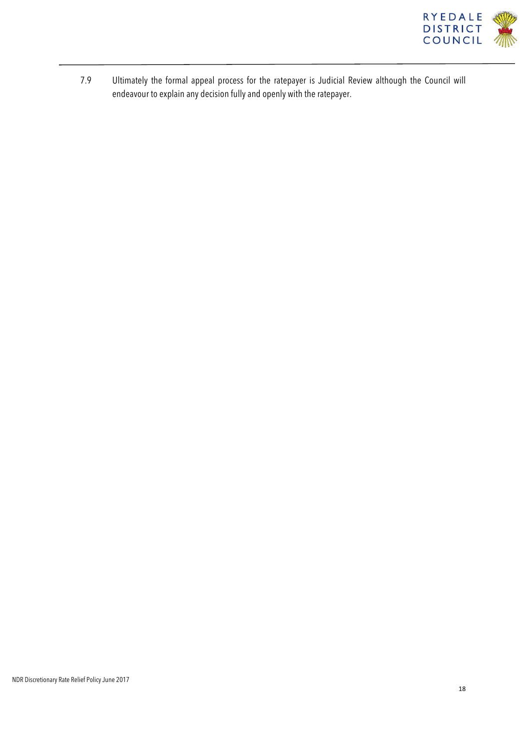

7.9 Ultimately the formal appeal process for the ratepayer is Judicial Review although the Council will endeavour to explain any decision fully and openly with the ratepayer.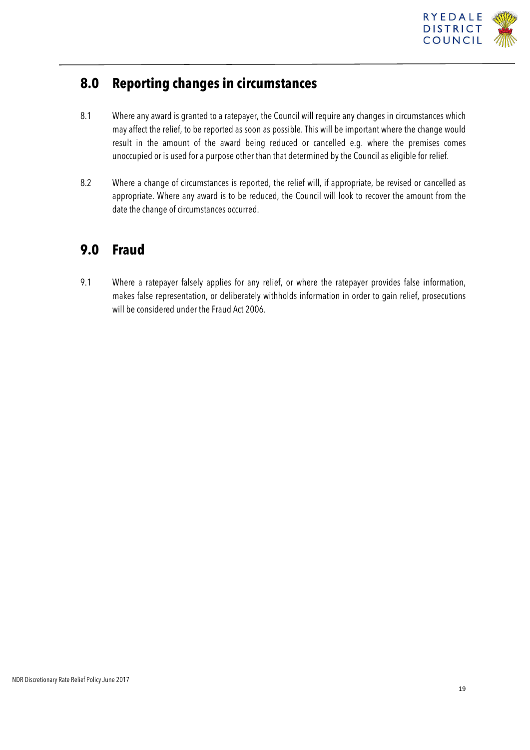

### **8.0 Reporting changes in circumstances**

- 8.1 Where any award is granted to a ratepayer, the Council will require any changes in circumstances which may affect the relief, to be reported as soon as possible. This will be important where the change would result in the amount of the award being reduced or cancelled e.g. where the premises comes unoccupied or is used for a purpose other than that determined by the Council as eligible for relief.
- 8.2 Where a change of circumstances is reported, the relief will, if appropriate, be revised or cancelled as appropriate. Where any award is to be reduced, the Council will look to recover the amount from the date the change of circumstances occurred.

## **9.0 Fraud**

9.1 Where a ratepayer falsely applies for any relief, or where the ratepayer provides false information, makes false representation, or deliberately withholds information in order to gain relief, prosecutions will be considered under the Fraud Act 2006.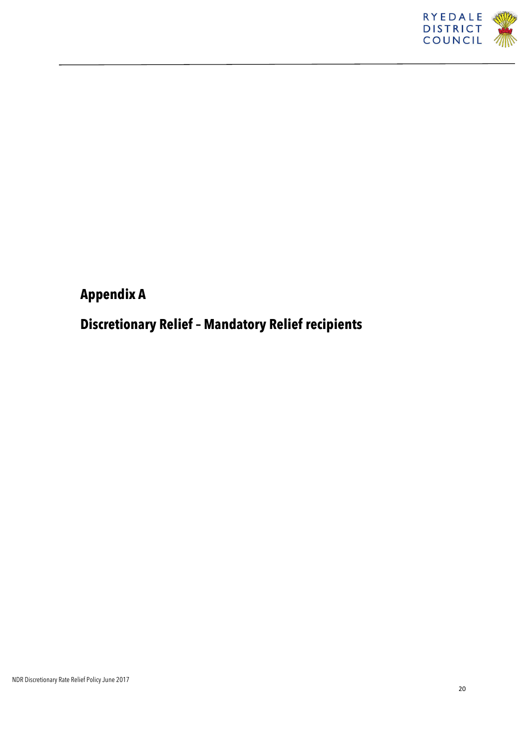

## **Appendix A**

## **Discretionary Relief – Mandatory Relief recipients**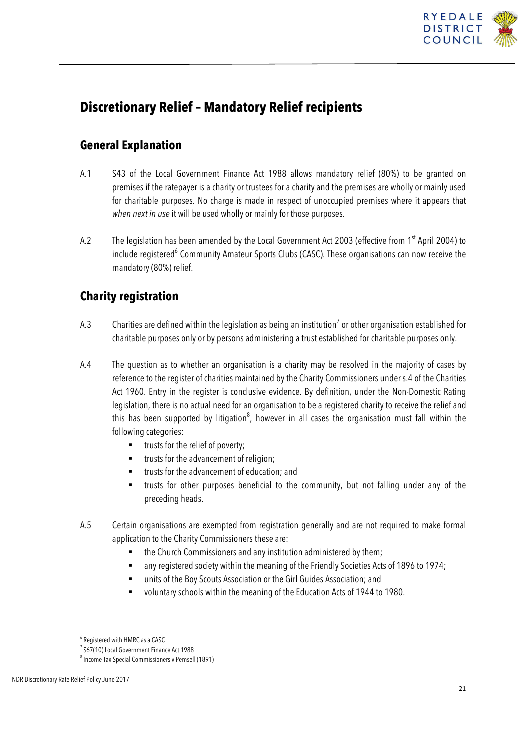

## **Discretionary Relief – Mandatory Relief recipients**

### **General Explanation**

- A.1 S43 of the Local Government Finance Act 1988 allows mandatory relief (80%) to be granted on premises if the ratepayer is a charity or trustees for a charity and the premises are wholly or mainly used for charitable purposes. No charge is made in respect of unoccupied premises where it appears that *when next in use* it will be used wholly or mainly for those purposes.
- A.2 The legislation has been amended by the Local Government Act 2003 (effective from 1<sup>st</sup> April 2004) to include registered<sup>6</sup> Community Amateur Sports Clubs (CASC). These organisations can now receive the mandatory (80%) relief.

### **Charity registration**

- A.3 Charities are defined within the legislation as being an institution<sup>7</sup> or other organisation established for charitable purposes only or by persons administering a trust established for charitable purposes only.
- A.4 The question as to whether an organisation is a charity may be resolved in the majority of cases by reference to the register of charities maintained by the Charity Commissioners under s.4 of the Charities Act 1960. Entry in the register is conclusive evidence. By definition, under the Non-Domestic Rating legislation, there is no actual need for an organisation to be a registered charity to receive the relief and this has been supported by litigation<sup>8</sup>, however in all cases the organisation must fall within the following categories:
	- trusts for the relief of poverty;
	- trusts for the advancement of religion;
	- trusts for the advancement of education; and
	- § trusts for other purposes beneficial to the community, but not falling under any of the preceding heads.
- A.5 Certain organisations are exempted from registration generally and are not required to make formal application to the Charity Commissioners these are:
	- the Church Commissioners and any institution administered by them;
	- any registered society within the meaning of the Friendly Societies Acts of 1896 to 1974;
	- units of the Boy Scouts Association or the Girl Guides Association; and
	- voluntary schools within the meaning of the Education Acts of 1944 to 1980.

<sup>6</sup> Registered with HMRC as a CASC

<sup>&</sup>lt;sup>7</sup> S67(10) Local Government Finance Act 1988

<sup>8</sup> Income Tax Special Commissioners v Pemsell (1891)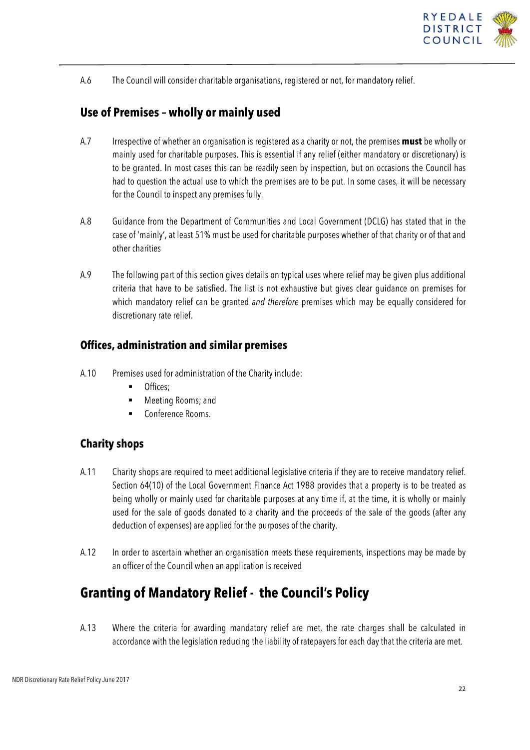

A.6 The Council will consider charitable organisations, registered or not, for mandatory relief.

### **Use of Premises – wholly or mainly used**

- A.7 Irrespective of whether an organisation is registered as a charity or not, the premises **must** be wholly or mainly used for charitable purposes. This is essential if any relief (either mandatory or discretionary) is to be granted. In most cases this can be readily seen by inspection, but on occasions the Council has had to question the actual use to which the premises are to be put. In some cases, it will be necessary for the Council to inspect any premises fully.
- A.8 Guidance from the Department of Communities and Local Government (DCLG) has stated that in the case of 'mainly', at least 51% must be used for charitable purposes whether of that charity or of that and other charities
- A.9 The following part of this section gives details on typical uses where relief may be given plus additional criteria that have to be satisfied. The list is not exhaustive but gives clear guidance on premises for which mandatory relief can be granted *and therefore* premises which may be equally considered for discretionary rate relief.

#### **Offices, administration and similar premises**

- A.10 Premises used for administration of the Charity include:
	- Offices:
	- § Meeting Rooms; and
	- § Conference Rooms.

#### **Charity shops**

- A.11 Charity shops are required to meet additional legislative criteria if they are to receive mandatory relief. Section 64(10) of the Local Government Finance Act 1988 provides that a property is to be treated as being wholly or mainly used for charitable purposes at any time if, at the time, it is wholly or mainly used for the sale of goods donated to a charity and the proceeds of the sale of the goods (after any deduction of expenses) are applied for the purposes of the charity.
- A.12 In order to ascertain whether an organisation meets these requirements, inspections may be made by an officer of the Council when an application is received

## **Granting of Mandatory Relief - the Council's Policy**

A.13 Where the criteria for awarding mandatory relief are met, the rate charges shall be calculated in accordance with the legislation reducing the liability of ratepayers for each day that the criteria are met.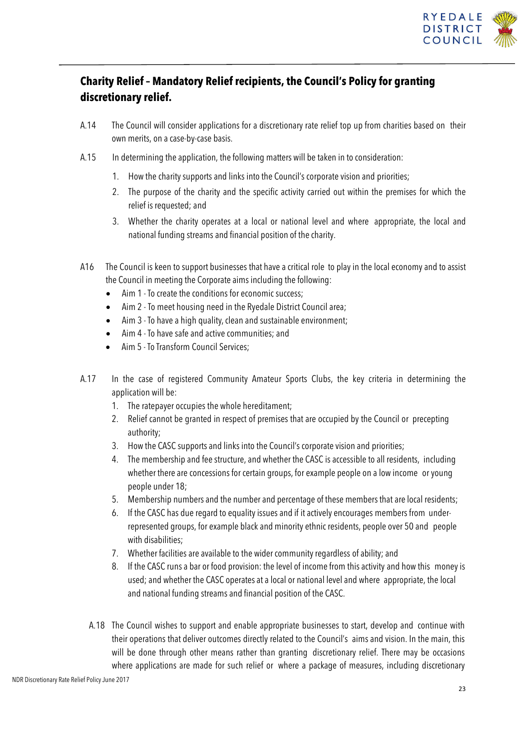

### **Charity Relief – Mandatory Relief recipients, the Council's Policy for granting discretionary relief.**

- A.14 The Council will consider applications for a discretionary rate relief top up from charities based on their own merits, on a case-by-case basis.
- A.15 In determining the application, the following matters will be taken in to consideration:
	- 1. How the charity supports and links into the Council's corporate vision and priorities;
	- 2. The purpose of the charity and the specific activity carried out within the premises for which the relief is requested; and
	- 3. Whether the charity operates at a local or national level and where appropriate, the local and national funding streams and financial position of the charity.
- A16 The Council is keen to support businesses that have a critical role to play in the local economy and to assist the Council in meeting the Corporate aims including the following:
	- Aim 1 -To create the conditions for economic success;
	- Aim 2 To meet housing need in the Ryedale District Council area;
	- Aim 3 To have a high quality, clean and sustainable environment;
	- Aim 4 -To have safe and active communities; and
	- Aim 5 -To Transform Council Services;
- A.17 In the case of registered Community Amateur Sports Clubs, the key criteria in determining the application will be:
	- 1. The ratepayer occupies the whole hereditament;
	- 2. Relief cannot be granted in respect of premises that are occupied by the Council or precepting authority;
	- 3. How the CASC supports and links into the Council's corporate vision and priorities;
	- 4. The membership and fee structure, and whether the CASC is accessible to all residents, including whether there are concessions for certain groups, for example people on a low income or young people under 18;
	- 5. Membership numbers and the number and percentage of these members that are local residents;
	- 6. If the CASC has due regard to equalityissues and if it actively encourages members from underrepresented groups, for example black and minority ethnic residents, people over 50 and people with disabilities;
	- 7. Whether facilities are available to the wider communityregardless of ability; and
	- 8. If the CASC runs a bar or food provision: the level of income from this activity and how this moneyis used; and whether the CASC operates at a local or national level and where appropriate, the local and national funding streams and financial position of the CASC.
	- A.18 The Council wishes to support and enable appropriate businesses to start, develop and continue with their operations that deliver outcomes directly related to the Council's aims and vision. In the main, this will be done through other means rather than granting discretionary relief. There may be occasions where applications are made for such relief or where a package of measures, including discretionary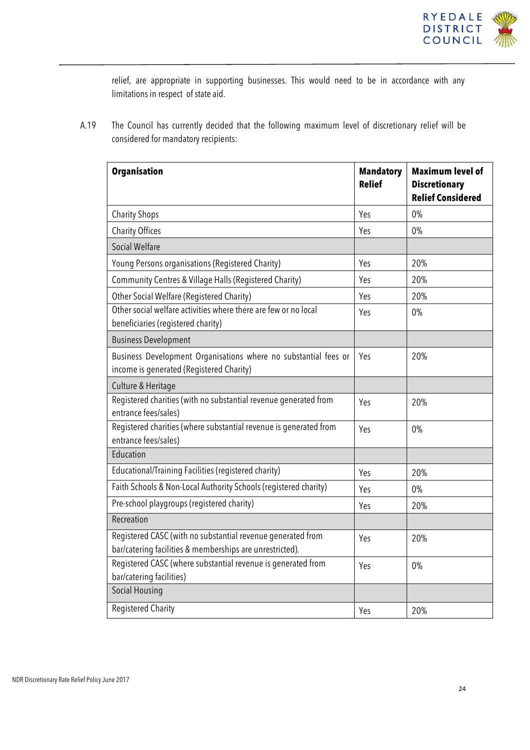

relief, are appropriate in supporting businesses. This would need to be in accordance with any limitations in respect of state aid.

A.19 The Council has currently decided that the following maximum level of discretionary relief will be considered for mandatory recipients:

| <b>Organisation</b>                                                                                                     | <b>Mandatory</b><br><b>Relief</b> | <b>Maximum level of</b><br><b>Discretionary</b><br><b>Relief Considered</b> |
|-------------------------------------------------------------------------------------------------------------------------|-----------------------------------|-----------------------------------------------------------------------------|
| <b>Charity Shops</b>                                                                                                    | Yes                               | 0%                                                                          |
| <b>Charity Offices</b>                                                                                                  | Yes                               | $0\%$                                                                       |
| <b>Social Welfare</b>                                                                                                   |                                   |                                                                             |
| Young Persons organisations (Registered Charity)                                                                        | Yes                               | 20%                                                                         |
| Community Centres & Village Halls (Registered Charity)                                                                  | Yes                               | 20%                                                                         |
| Other Social Welfare (Registered Charity)                                                                               | Yes                               | 20%                                                                         |
| Other social welfare activities where there are few or no local<br>beneficiaries (registered charity)                   | Yes                               | 0%                                                                          |
| <b>Business Development</b>                                                                                             |                                   |                                                                             |
| Business Development Organisations where no substantial fees or<br>income is generated (Registered Charity)             | Yes                               | 20%                                                                         |
| Culture & Heritage                                                                                                      |                                   |                                                                             |
| Registered charities (with no substantial revenue generated from<br>entrance fees/sales)                                | Yes                               | 20%                                                                         |
| Registered charities (where substantial revenue is generated from<br>entrance fees/sales)                               | Yes                               | 0%                                                                          |
| Education                                                                                                               |                                   |                                                                             |
| Educational/Training Facilities (registered charity)                                                                    | Yes                               | 20%                                                                         |
| Faith Schools & Non-Local Authority Schools (registered charity)                                                        | Yes                               | 0%                                                                          |
| Pre-school playgroups (registered charity)                                                                              | Yes                               | 20%                                                                         |
| Recreation                                                                                                              |                                   |                                                                             |
| Registered CASC (with no substantial revenue generated from<br>bar/catering facilities & memberships are unrestricted). | Yes                               | 20%                                                                         |
| Registered CASC (where substantial revenue is generated from<br>bar/catering facilities)                                | Yes                               | 0%                                                                          |
| Social Housing                                                                                                          |                                   |                                                                             |
| <b>Registered Charity</b>                                                                                               | Yes                               | 20%                                                                         |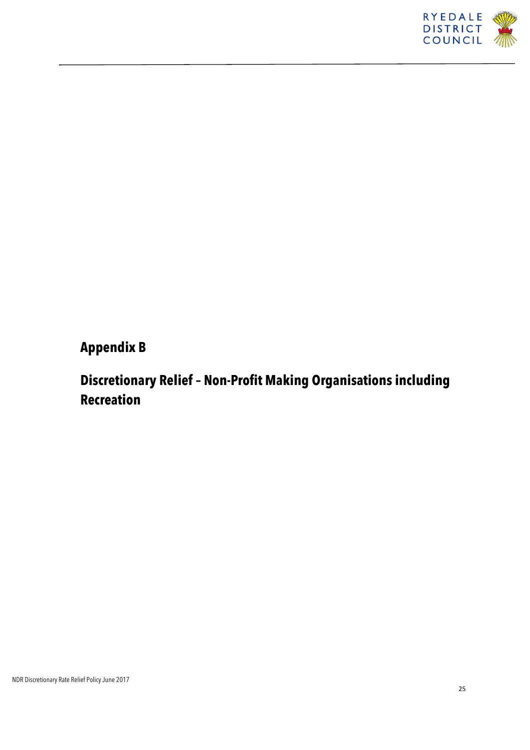

## **Appendix B**

## **Discretionary Relief – Non-Profit Making Organisations including Recreation**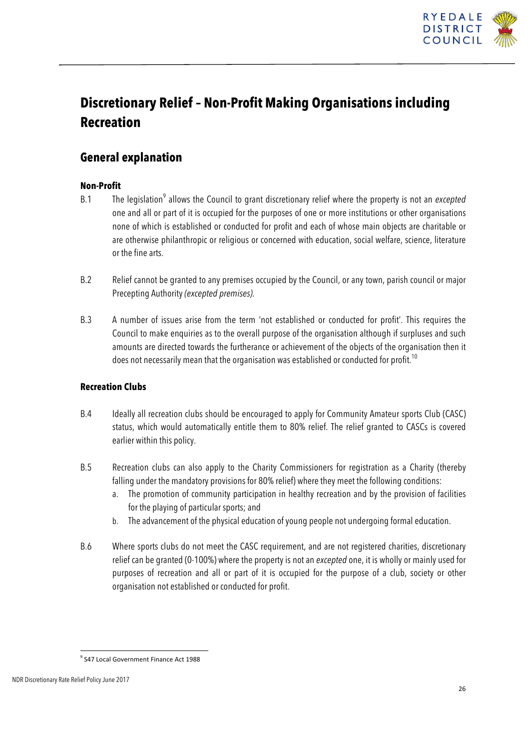

## **Discretionary Relief – Non-Profit Making Organisations including Recreation**

### **General explanation**

#### **Non-Profit**

- B.1 The legislation<sup>9</sup> allows the Council to grant discretionary relief where the property is not an *excepted* one and all or part of it is occupied for the purposes of one or more institutions or other organisations none of which is established or conducted for profit and each of whose main objects are charitable or are otherwise philanthropic or religious or concerned with education, social welfare, science, literature or the fine arts.
- B.2 Relief cannot be granted to any premises occupied by the Council, or any town, parish council or major Precepting Authority *(excepted premises).*
- B.3 A number of issues arise from the term 'not established or conducted for profit'. This requires the Council to make enquiries as to the overall purpose of the organisation although if surpluses and such amounts are directed towards the furtherance or achievement of the objects of the organisation then it does not necessarily mean that the organisation was established or conducted for profit.<sup>10</sup>

#### **Recreation Clubs**

- B.4 Ideally all recreation clubs should be encouraged to apply for Community Amateur sports Club (CASC) status, which would automatically entitle them to 80% relief. The relief granted to CASCs is covered earlier within this policy.
- B.5 Recreation clubs can also apply to the Charity Commissioners for registration as a Charity (thereby falling under the mandatory provisions for 80% relief) where they meet the following conditions:
	- a. The promotion of community participation in healthy recreation and by the provision of facilities for the playing of particular sports; and
	- b. The advancement of the physical education of young people not undergoing formal education.
- B.6 Where sports clubs do not meet the CASC requirement, and are not registered charities, discretionary relief can be granted (0-100%) where the property is not an *excepted* one, it is wholly or mainly used for purposes of recreation and all or part of it is occupied for the purpose of a club, society or other organisation not established or conducted for profit.

<sup>&</sup>lt;sup>9</sup> S47 Local Government Finance Act 1988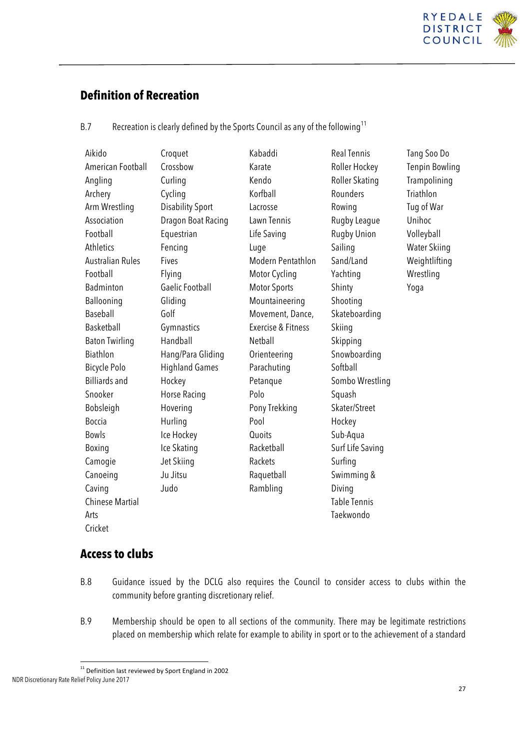

### **Definition of Recreation**

| B.7 | Recreation is clearly defined by the Sports Council as any of the following <sup>11</sup> |  |
|-----|-------------------------------------------------------------------------------------------|--|
|     |                                                                                           |  |
|     |                                                                                           |  |

| Aikido                  | Croquet                 | Kabaddi                       | <b>Real Tennis</b>  | Tang Soo Do           |
|-------------------------|-------------------------|-------------------------------|---------------------|-----------------------|
| American Football       | Crossbow                | Karate                        | Roller Hockey       | <b>Tenpin Bowling</b> |
| Angling                 | Curling                 | Kendo                         | Roller Skating      | Trampolining          |
| Archery                 | Cycling                 | Korfball                      | Rounders            | Triathlon             |
| Arm Wrestling           | <b>Disability Sport</b> | Lacrosse                      | Rowing              | Tug of War            |
| Association             | Dragon Boat Racing      | Lawn Tennis                   | Rugby League        | Unihoc                |
| Football                | Equestrian              | Life Saving                   | Rugby Union         | Volleyball            |
| Athletics               | Fencing                 | Luge                          | Sailing             | <b>Water Skiing</b>   |
| <b>Australian Rules</b> | Fives                   | Modern Pentathlon             | Sand/Land           | Weightlifting         |
| Football                | Flying                  | Motor Cycling                 | Yachting            | Wrestling             |
| Badminton               | <b>Gaelic Football</b>  | <b>Motor Sports</b>           | Shinty              | Yoga                  |
| Ballooning              | Gliding                 | Mountaineering                | Shooting            |                       |
| Baseball                | Golf                    | Movement, Dance,              | Skateboarding       |                       |
| Basketball              | Gymnastics              | <b>Exercise &amp; Fitness</b> | Skiing              |                       |
| <b>Baton Twirling</b>   | Handball                | Netball                       | Skipping            |                       |
| Biathlon                | Hang/Para Gliding       | Orienteering                  | Snowboarding        |                       |
| Bicycle Polo            | <b>Highland Games</b>   | Parachuting                   | Softball            |                       |
| <b>Billiards and</b>    | Hockey                  | Petanque                      | Sombo Wrestling     |                       |
| Snooker                 | Horse Racing            | Polo                          | Squash              |                       |
| Bobsleigh               | Hovering                | Pony Trekking                 | Skater/Street       |                       |
| Boccia                  | Hurling                 | Pool                          | Hockey              |                       |
| <b>Bowls</b>            | Ice Hockey              | Quoits                        | Sub-Aqua            |                       |
| Boxing                  | Ice Skating             | Racketball                    | Surf Life Saving    |                       |
| Camogie                 | Jet Skiing              | Rackets                       | Surfing             |                       |
| Canoeing                | Ju Jitsu                | Raquetball                    | Swimming &          |                       |
| Caving                  | Judo                    | Rambling                      | Diving              |                       |
| <b>Chinese Martial</b>  |                         |                               | <b>Table Tennis</b> |                       |
| Arts                    |                         |                               | Taekwondo           |                       |
| Cricket                 |                         |                               |                     |                       |
|                         |                         |                               |                     |                       |

### **Access to clubs**

- B.8 Guidance issued by the DCLG also requires the Council to consider access to clubs within the community before granting discretionary relief.
- B.9 Membership should be open to all sections of the community. There may be legitimate restrictions placed on membership which relate for example to ability in sport or to the achievement of a standard

NDR Discretionary Rate Relief Policy June 2017  $11$  Definition last reviewed by Sport England in 2002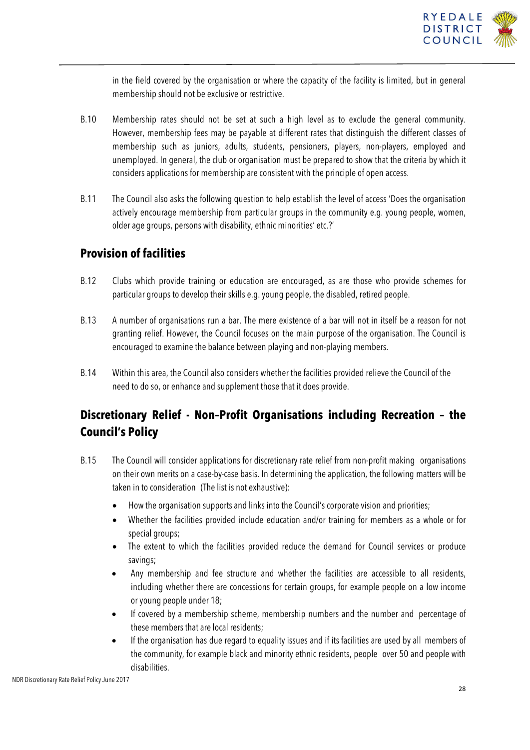

in the field covered by the organisation or where the capacity of the facility is limited, but in general membership should not be exclusive or restrictive.

- B.10 Membership rates should not be set at such a high level as to exclude the general community. However, membership fees may be payable at different rates that distinguish the different classes of membership such as juniors, adults, students, pensioners, players, non-players, employed and unemployed. In general, the club or organisation must be prepared to show that the criteria by which it considers applications for membership are consistent with the principle of open access.
- B.11 The Council also asks the following question to help establish the level of access 'Does the organisation actively encourage membership from particular groups in the community e.g. young people, women, older age groups, persons with disability, ethnic minorities' etc.?'

#### **Provision of facilities**

- B.12 Clubs which provide training or education are encouraged, as are those who provide schemes for particular groups to develop their skills e.g. young people, the disabled, retired people.
- B.13 A number of organisations run a bar. The mere existence of a bar will not in itself be a reason for not granting relief. However, the Council focuses on the main purpose of the organisation. The Council is encouraged to examine the balance between playing and non-playing members.
- B.14 Within this area, the Council also considers whether the facilities provided relieve the Council of the need to do so, or enhance and supplement those that it does provide.

### **Discretionary Relief - Non–Profit Organisations including Recreation – the Council's Policy**

- B.15 The Council will consider applications for discretionary rate relief from non-profit making organisations on their own merits on a case-by-case basis. In determining the application, the following matters will be taken in to consideration (The list is not exhaustive):
	- How the organisation supports and links into the Council's corporate vision and priorities;
	- Whether the facilities provided include education and/or training for members as a whole or for special groups;
	- The extent to which the facilities provided reduce the demand for Council services or produce savings;
	- Any membership and fee structure and whether the facilities are accessible to all residents, including whether there are concessions for certain groups, for example people on a low income or young people under 18;
	- If covered by a membership scheme, membership numbers and the number and percentage of these members that are local residents;
	- If the organisation has due regard to equality issues and if its facilities are used by all members of the community, for example black and minority ethnic residents, people over 50 and people with disabilities.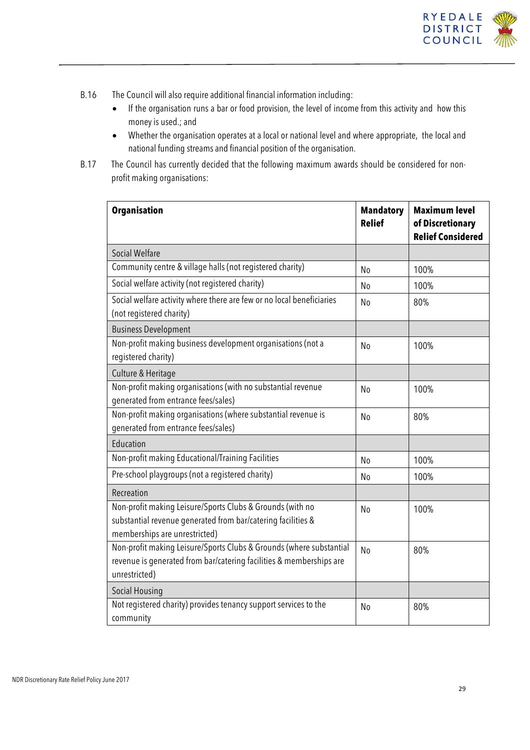

- B.16 The Council will also require additional financial information including:
	- If the organisation runs a bar or food provision, the level of income from this activity and how this money is used.; and
	- Whether the organisation operates at a local or national level and where appropriate, the local and national funding streams and financial position of the organisation.
- B.17 The Council has currently decided that the following maximum awards should be considered for nonprofit making organisations:

| <b>Organisation</b>                                                                                                                                         | <b>Mandatory</b><br><b>Relief</b> | <b>Maximum level</b><br>of Discretionary<br><b>Relief Considered</b> |
|-------------------------------------------------------------------------------------------------------------------------------------------------------------|-----------------------------------|----------------------------------------------------------------------|
| <b>Social Welfare</b>                                                                                                                                       |                                   |                                                                      |
| Community centre & village halls (not registered charity)                                                                                                   | No                                | 100%                                                                 |
| Social welfare activity (not registered charity)                                                                                                            | No                                | 100%                                                                 |
| Social welfare activity where there are few or no local beneficiaries<br>(not registered charity)                                                           | No                                | 80%                                                                  |
| <b>Business Development</b>                                                                                                                                 |                                   |                                                                      |
| Non-profit making business development organisations (not a<br>registered charity)                                                                          | No                                | 100%                                                                 |
| Culture & Heritage                                                                                                                                          |                                   |                                                                      |
| Non-profit making organisations (with no substantial revenue<br>generated from entrance fees/sales)                                                         | N <sub>o</sub>                    | 100%                                                                 |
| Non-profit making organisations (where substantial revenue is<br>generated from entrance fees/sales)                                                        | N <sub>o</sub>                    | 80%                                                                  |
| Education                                                                                                                                                   |                                   |                                                                      |
| Non-profit making Educational/Training Facilities                                                                                                           | N <sub>o</sub>                    | 100%                                                                 |
| Pre-school playgroups (not a registered charity)                                                                                                            | No                                | 100%                                                                 |
| Recreation                                                                                                                                                  |                                   |                                                                      |
| Non-profit making Leisure/Sports Clubs & Grounds (with no<br>substantial revenue generated from bar/catering facilities &<br>memberships are unrestricted)  | N <sub>o</sub>                    | 100%                                                                 |
| Non-profit making Leisure/Sports Clubs & Grounds (where substantial<br>revenue is generated from bar/catering facilities & memberships are<br>unrestricted) | N <sub>0</sub>                    | 80%                                                                  |
| Social Housing                                                                                                                                              |                                   |                                                                      |
| Not registered charity) provides tenancy support services to the<br>community                                                                               | No                                | 80%                                                                  |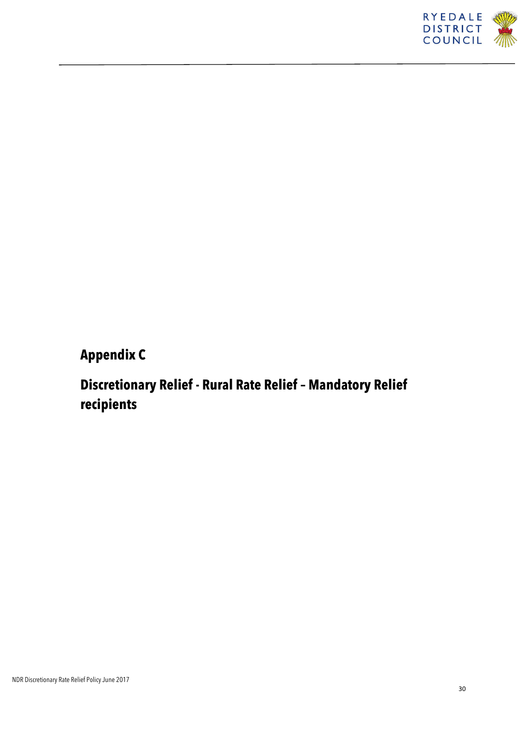

## **Appendix C**

## **Discretionary Relief - Rural Rate Relief – Mandatory Relief recipients**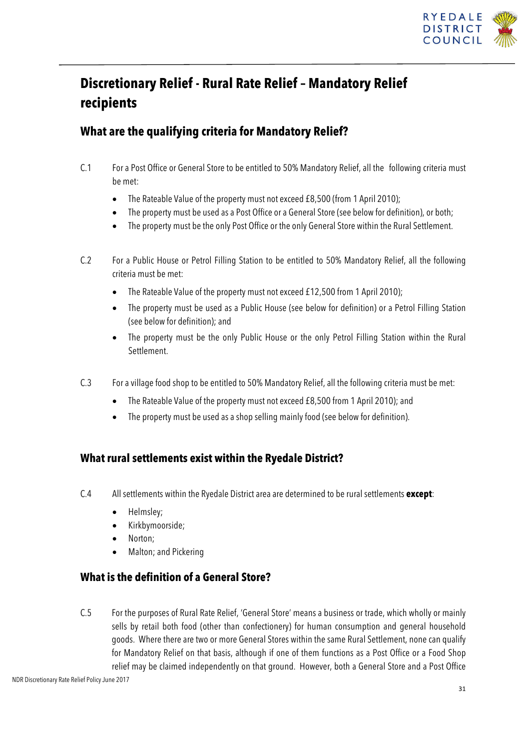

## **Discretionary Relief - Rural Rate Relief – Mandatory Relief recipients**

### **What are the qualifying criteria for Mandatory Relief?**

- C.1 For a Post Office or General Store to be entitled to 50% Mandatory Relief, all the following criteria must be met:
	- The Rateable Value of the property must not exceed £8,500 (from 1 April 2010);
	- The property must be used as a Post Office or a General Store (see below for definition), or both;
	- The property must be the only Post Office or the only General Store within the Rural Settlement.
- C.2 For a Public House or Petrol Filling Station to be entitled to 50% Mandatory Relief, all the following criteria must be met:
	- The Rateable Value of the property must not exceed £12,500 from 1 April 2010);
	- The property must be used as a Public House (see below for definition) or a Petrol Filling Station (see below for definition); and
	- The property must be the only Public House or the only Petrol Filling Station within the Rural **Settlement**
- C.3 For a village food shop to be entitled to 50% Mandatory Relief, all the following criteria must be met:
	- The Rateable Value of the property must not exceed £8,500 from 1 April 2010); and
	- The property must be used as a shop selling mainly food (see below for definition).

#### **What rural settlements exist within the Ryedale District?**

- C.4 All settlements within the Ryedale District area are determined to be rural settlements **except**:
	- Helmsley;
	- Kirkbymoorside;
	- Norton;
	- Malton; and Pickering

### **What is the definition of a General Store?**

C.5 For the purposes of Rural Rate Relief, 'General Store' means a business or trade, which wholly or mainly sells by retail both food (other than confectionery) for human consumption and general household goods. Where there are two or more General Stores within the same Rural Settlement, none can qualify for Mandatory Relief on that basis, although if one of them functions as a Post Office or a Food Shop relief may be claimed independently on that ground. However, both a General Store and a Post Office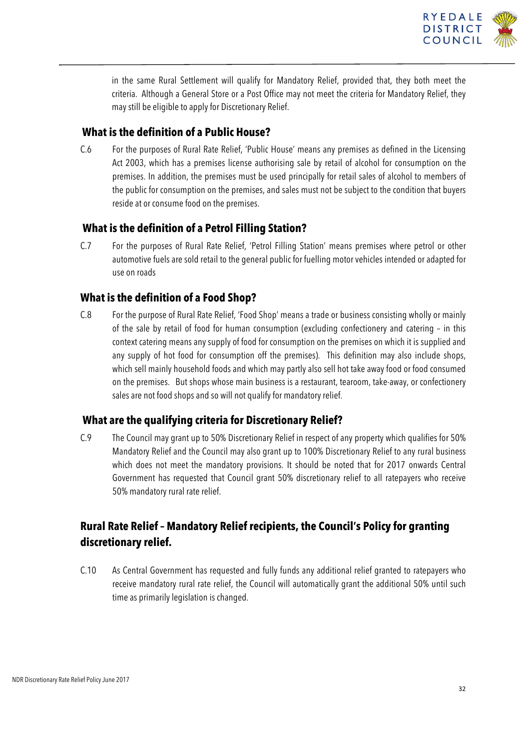

in the same Rural Settlement will qualify for Mandatory Relief, provided that, they both meet the criteria. Although a General Store or a Post Office may not meet the criteria for Mandatory Relief, they may still be eligible to apply for Discretionary Relief.

#### **What is the definition of a Public House?**

C.6 For the purposes of Rural Rate Relief, 'Public House' means any premises as defined in the Licensing Act 2003, which has a premises license authorising sale by retail of alcohol for consumption on the premises. In addition, the premises must be used principally for retail sales of alcohol to members of the public for consumption on the premises, and sales must not be subject to the condition that buyers reside at or consume food on the premises.

#### **What is the definition of a Petrol Filling Station?**

C.7 For the purposes of Rural Rate Relief, 'Petrol Filling Station' means premises where petrol or other automotive fuels are sold retail to the general public for fuelling motor vehicles intended or adapted for use on roads

#### **What is the definition of a Food Shop?**

C.8 For the purpose of Rural Rate Relief, 'Food Shop' means a trade or business consisting wholly or mainly of the sale by retail of food for human consumption (excluding confectionery and catering – in this context catering means any supply of food for consumption on the premises on which it is supplied and any supply of hot food for consumption off the premises). This definition may also include shops, which sell mainly household foods and which may partly also sell hot take away food or food consumed on the premises. But shops whose main business is a restaurant, tearoom, take-away, or confectionery sales are not food shops and so will not qualify for mandatory relief.

#### **What are the qualifying criteria for Discretionary Relief?**

C.9 The Council may grant up to 50% Discretionary Relief in respect of any property which qualifies for 50% Mandatory Relief and the Council may also grant up to 100% Discretionary Relief to any rural business which does not meet the mandatory provisions. It should be noted that for 2017 onwards Central Government has requested that Council grant 50% discretionary relief to all ratepayers who receive 50% mandatory rural rate relief.

### **Rural Rate Relief – Mandatory Relief recipients, the Council's Policy for granting discretionary relief.**

C.10 As Central Government has requested and fully funds any additional relief granted to ratepayers who receive mandatory rural rate relief, the Council will automatically grant the additional 50% until such time as primarily legislation is changed.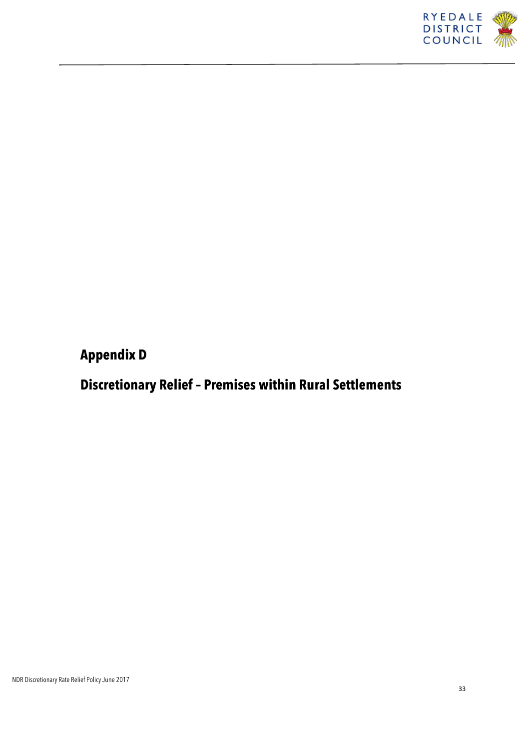

## **Appendix D**

## **Discretionary Relief – Premises within Rural Settlements**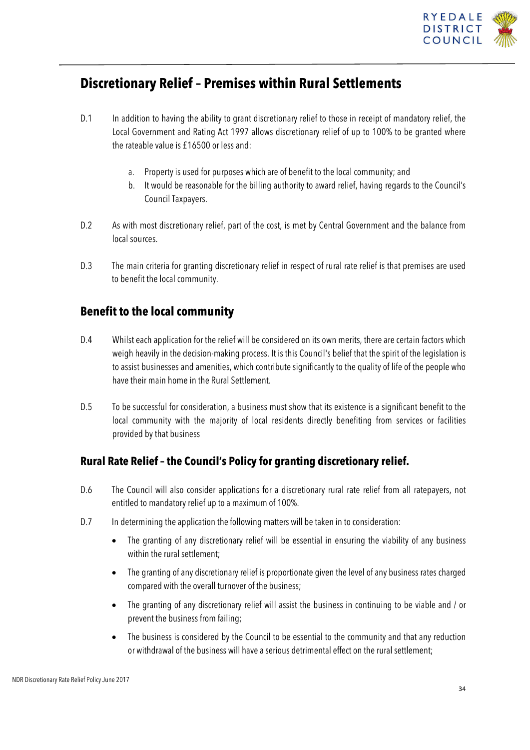

### **Discretionary Relief – Premises within Rural Settlements**

- D.1 In addition to having the ability to grant discretionary relief to those in receipt of mandatory relief, the Local Government and Rating Act 1997 allows discretionary relief of up to 100% to be granted where the rateable value is £16500 or less and:
	- a. Property is used for purposes which are of benefit to the local community; and
	- b. It would be reasonable for the billing authority to award relief, having regards to the Council's Council Taxpayers.
- D.2 As with most discretionary relief, part of the cost, is met by Central Government and the balance from local sources.
- D.3 The main criteria for granting discretionary relief in respect of rural rate relief is that premises are used to benefit the local community.

### **Benefit to the local community**

- D.4 Whilst each application for the relief will be considered on its own merits, there are certain factors which weigh heavily in the decision-making process. It is this Council's belief that the spirit of the legislation is to assist businesses and amenities, which contribute significantly to the quality of life of the people who have their main home in the Rural Settlement.
- D.5 To be successful for consideration, a business must show that its existence is a significant benefit to the local community with the majority of local residents directly benefiting from services or facilities provided by that business

### **Rural Rate Relief – the Council's Policy for granting discretionary relief.**

- D.6 The Council will also consider applications for a discretionary rural rate relief from all ratepayers, not entitled to mandatory relief up to a maximum of 100%.
- D.7 In determining the application the following matters will be taken in to consideration:
	- The granting of any discretionary relief will be essential in ensuring the viability of any business within the rural settlement;
	- The granting of any discretionary relief is proportionate given the level of any business rates charged compared with the overall turnover of the business;
	- The granting of any discretionary relief will assist the business in continuing to be viable and / or prevent the business from failing;
	- The business is considered by the Council to be essential to the community and that any reduction or withdrawal of the business will have a serious detrimental effect on the rural settlement;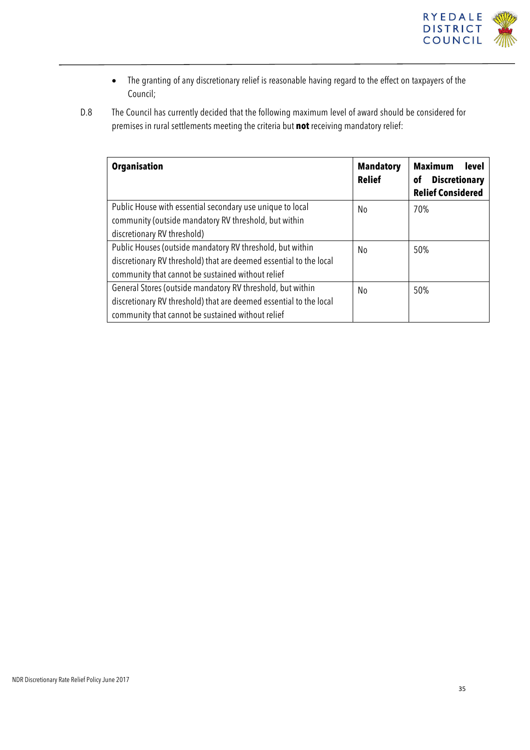

- The granting of any discretionary relief is reasonable having regard to the effect on taxpayers of the Council;
- D.8 The Council has currently decided that the following maximum level of award should be considered for premises in rural settlements meeting the criteria but **not** receiving mandatory relief:

| <b>Organisation</b>                                                | <b>Mandatory</b><br><b>Relief</b> | <b>Maximum</b><br><b>level</b><br><b>Discretionary</b><br>οf<br><b>Relief Considered</b> |
|--------------------------------------------------------------------|-----------------------------------|------------------------------------------------------------------------------------------|
| Public House with essential secondary use unique to local          | No                                | 70%                                                                                      |
| community (outside mandatory RV threshold, but within              |                                   |                                                                                          |
| discretionary RV threshold)                                        |                                   |                                                                                          |
| Public Houses (outside mandatory RV threshold, but within          | No.                               | 50%                                                                                      |
| discretionary RV threshold) that are deemed essential to the local |                                   |                                                                                          |
| community that cannot be sustained without relief                  |                                   |                                                                                          |
| General Stores (outside mandatory RV threshold, but within         | No                                | 50%                                                                                      |
| discretionary RV threshold) that are deemed essential to the local |                                   |                                                                                          |
| community that cannot be sustained without relief                  |                                   |                                                                                          |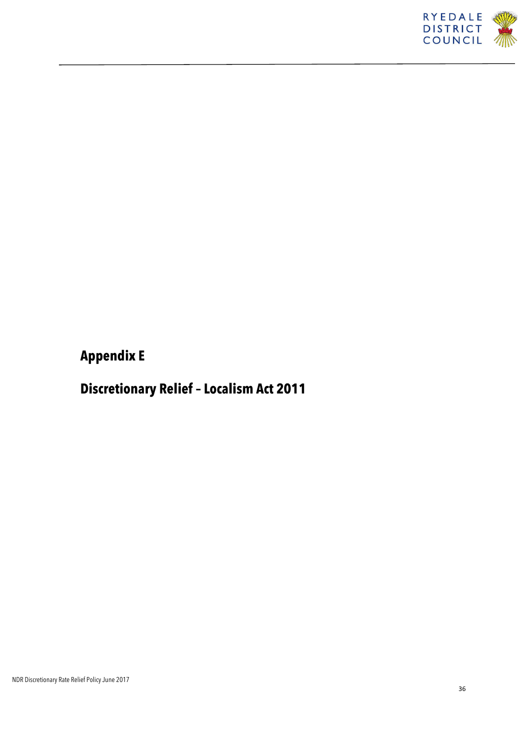

**Appendix E**

**Discretionary Relief – Localism Act 2011**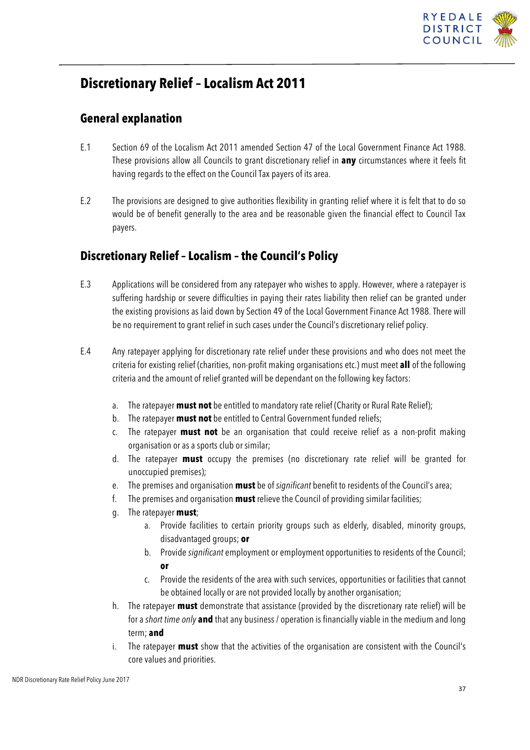

## **Discretionary Relief – Localism Act 2011**

### **General explanation**

- E.1 Section 69 of the Localism Act 2011 amended Section 47 of the Local Government Finance Act 1988. These provisions allow all Councils to grant discretionary relief in **any** circumstances where it feels fit having regards to the effect on the Council Tax payers of its area.
- E.2 The provisions are designed to give authorities flexibility in granting relief where it is felt that to do so would be of benefit generally to the area and be reasonable given the financial effect to Council Tax payers.

### **Discretionary Relief – Localism – the Council's Policy**

- E.3 Applications will be considered from any ratepayer who wishes to apply. However, where a ratepayer is suffering hardship or severe difficulties in paying their rates liability then relief can be granted under the existing provisions as laid down by Section 49 of the Local Government Finance Act 1988. There will be no requirement to grant relief in such cases under the Council's discretionary relief policy.
- E.4 Any ratepayer applying for discretionary rate relief under these provisions and who does not meet the criteria for existing relief (charities, non-profit making organisations etc.) must meet **all** of the following criteria and the amount of relief granted will be dependant on the following key factors:
	- a. The ratepayer **must not** be entitled to mandatory rate relief (Charity or Rural Rate Relief);
	- b. The ratepayer **must not** be entitled to Central Government funded reliefs;
	- c. The ratepayer **must not** be an organisation that could receive relief as a non-profit making organisation or as a sports club or similar;
	- d. The ratepayer **must** occupy the premises (no discretionary rate relief will be granted for unoccupied premises);
	- e. The premises and organisation **must** be of *significant* benefit to residents of the Council's area;
	- f. The premises and organisation **must** relieve the Council of providing similar facilities;
	- g. The ratepayer **must**;
		- a. Provide facilities to certain priority groups such as elderly, disabled, minority groups, disadvantaged groups; **or**
		- b. Provide *significant* employment or employment opportunities to residents of the Council; **or**
		- c. Provide the residents of the area with such services, opportunities or facilities that cannot be obtained locally or are not provided locally by another organisation;
	- h. The ratepayer **must** demonstrate that assistance (provided by the discretionary rate relief) will be for a *short time only* **and** that any business / operation is financially viable in the medium and long term; **and**
	- i. The ratepayer **must** show that the activities of the organisation are consistent with the Council's core values and priorities.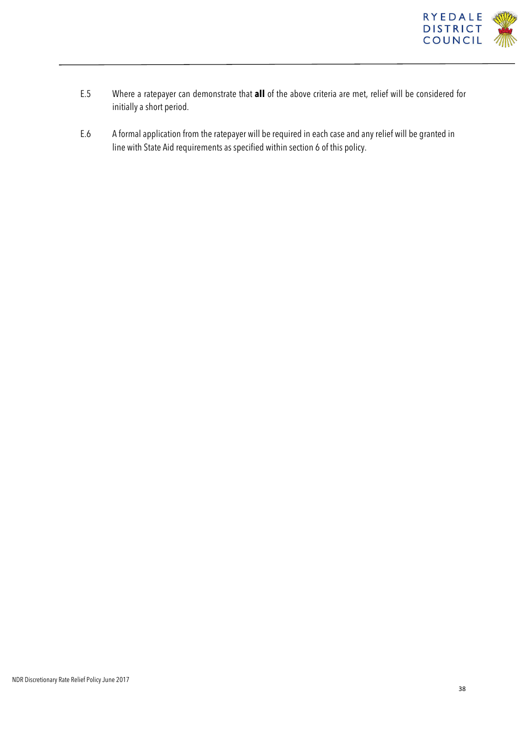

- E.5 Where a ratepayer can demonstrate that **all** of the above criteria are met, relief will be considered for initially a short period.
- E.6 A formal application from the ratepayer will be required in each case and any relief will be granted in line with State Aid requirements as specified within section 6 of this policy.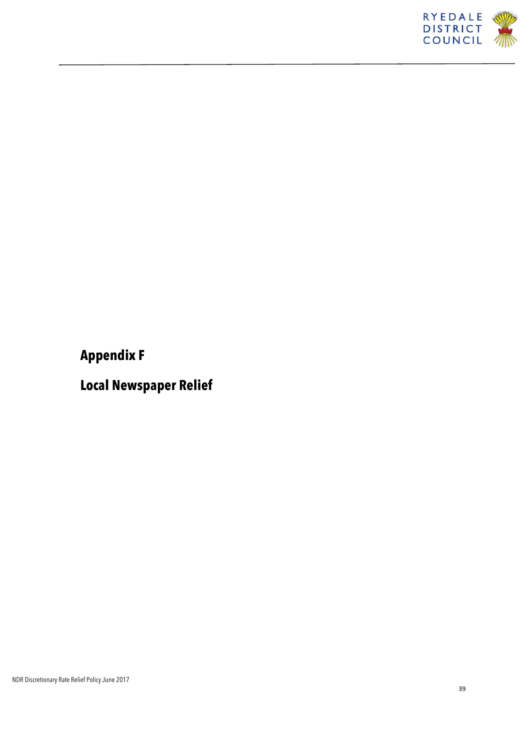

## **Appendix F**

**Local Newspaper Relief**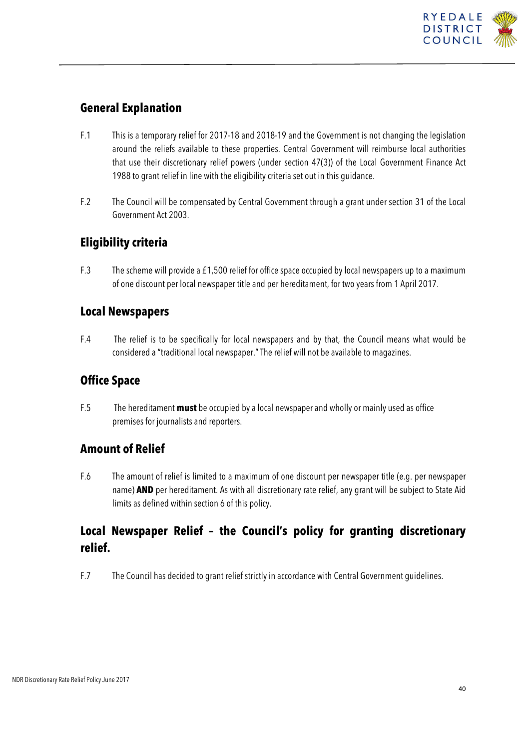

### **General Explanation**

- F.1 This is a temporary relief for 2017-18 and 2018-19 and the Government is not changing the legislation around the reliefs available to these properties. Central Government will reimburse local authorities that use their discretionary relief powers (under section 47(3)) of the Local Government Finance Act 1988 to grant relief in line with the eligibility criteria set out in this guidance.
- F.2 The Council will be compensated by Central Government through a grant under section 31 of the Local Government Act 2003.

### **Eligibility criteria**

F.3 The scheme will provide a £1,500 relief for office space occupied by local newspapers up to a maximum of one discount per local newspaper title and per hereditament, for two years from 1 April 2017.

### **Local Newspapers**

F.4 The relief is to be specifically for local newspapers and by that, the Council means what would be considered a "traditional local newspaper." The relief will not be available to magazines.

### **Office Space**

F.5 The hereditament **must** be occupied by a local newspaper and wholly or mainly used as office premises for journalists and reporters.

### **Amount of Relief**

F.6 The amount of relief is limited to a maximum of one discount per newspaper title (e.g. per newspaper name) **AND** per hereditament. As with all discretionary rate relief, any grant will be subject to State Aid limits as defined within section 6 of this policy.

### **Local Newspaper Relief – the Council's policy for granting discretionary relief.**

F.7 The Council has decided to grant relief strictly in accordance with Central Government guidelines.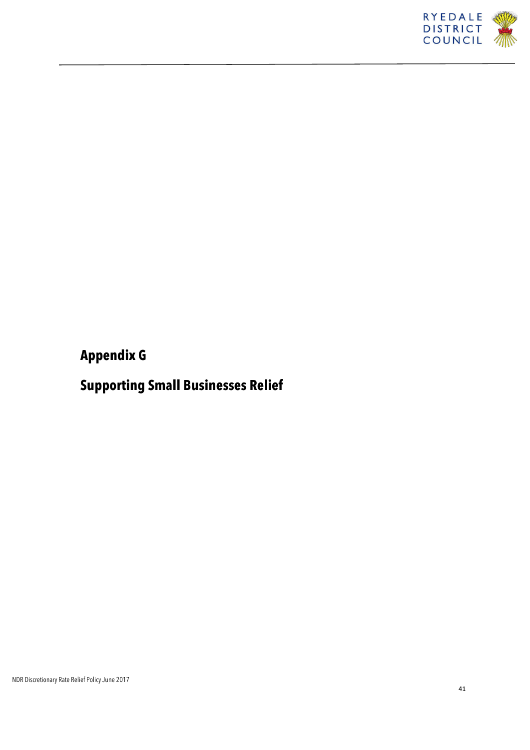

## **Appendix G**

## **Supporting Small Businesses Relief**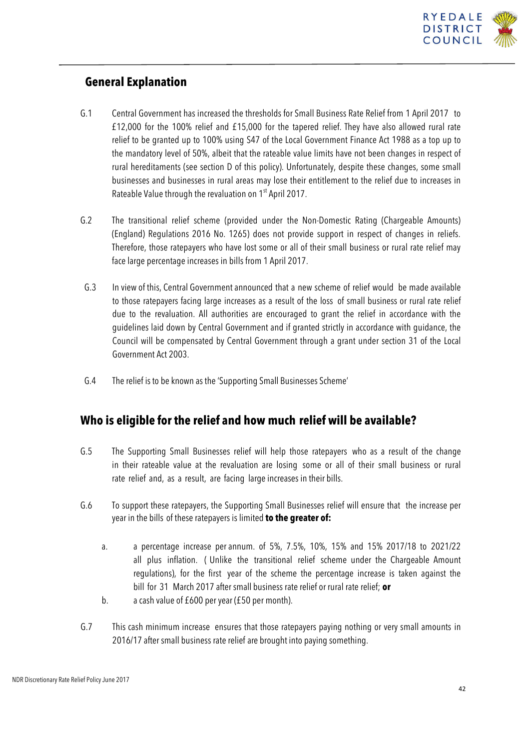

### **General Explanation**

- G.1 Central Government has increased the thresholds for Small Business Rate Relief from 1 April 2017 to £12,000 for the 100% relief and £15,000 for the tapered relief. They have also allowed rural rate relief to be granted up to 100% using S47 of the Local Government Finance Act 1988 as a top up to the mandatory level of 50%, albeit that the rateable value limits have not been changes in respect of rural hereditaments (see section D of this policy). Unfortunately, despite these changes, some small businesses and businesses in rural areas may lose their entitlement to the relief due to increases in Rateable Value through the revaluation on 1<sup>st</sup> April 2017.
- G.2 The transitional relief scheme (provided under the Non-Domestic Rating (Chargeable Amounts) (England) Regulations 2016 No. 1265) does not provide support in respect of changes in reliefs. Therefore, those ratepayers who have lost some or all of their small business or rural rate relief may face large percentage increases in bills from 1 April 2017.
- G.3 In view of this, Central Government announced that a new scheme of relief would be made available to those ratepayers facing large increases as a result of the loss of small business or rural rate relief due to the revaluation. All authorities are encouraged to grant the relief in accordance with the guidelines laid down by Central Government and if granted strictly in accordance with guidance, the Council will be compensated by Central Government through a grant under section 31 of the Local Government Act 2003.
- G.4 The relief is to be known as the 'Supporting Small Businesses Scheme'

### **Who is eligible for the relief and how much relief will be available?**

- G.5 The Supporting Small Businesses relief will help those ratepayers who as a result of the change in their rateable value at the revaluation are losing some or all of their small business or rural rate relief and, as a result, are facing large increases in their bills.
- G.6 To support these ratepayers, the Supporting Small Businesses relief will ensure that the increase per year in the bills of these ratepayers is limited **to the greater of:**
	- a. a percentage increase per annum. of 5%, 7.5%, 10%, 15% and 15% 2017/18 to 2021/22 all plus inflation. ( Unlike the transitional relief scheme under the Chargeable Amount regulations), for the first year of the scheme the percentage increase is taken against the bill for 31 March 2017 after small business rate relief or rural rate relief; **or**
	- b. a cash value of £600 per year (£50 per month).
- G.7 This cash minimum increase ensures that those ratepayers paying nothing or very small amounts in 2016/17 after small business rate relief are brought into paying something.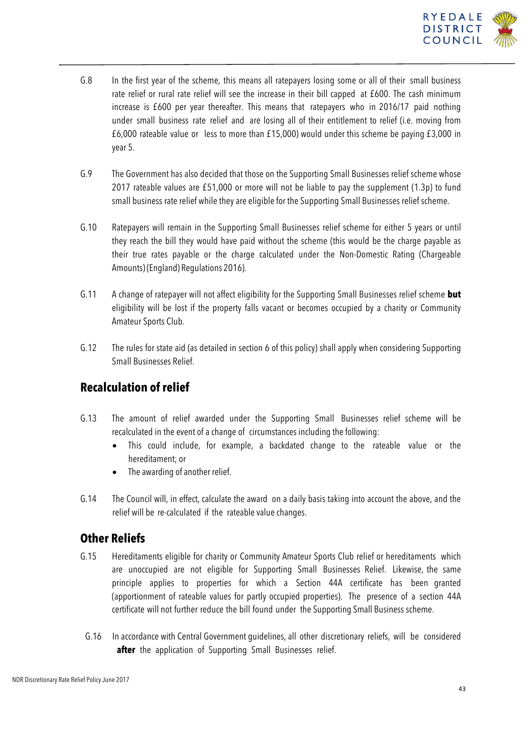

- G.8 In the first year of the scheme, this means all ratepayers losing some or all of their small business rate relief or rural rate relief will see the increase in their bill capped at £600. The cash minimum increase is £600 per year thereafter. This means that ratepayers who in 2016/17 paid nothing under small business rate relief and are losing all of their entitlement to relief (i.e. moving from £6,000 rateable value or less to more than £15,000) would under this scheme be paying £3,000 in year 5.
- G.9 The Government has also decided that those on the Supporting Small Businesses relief scheme whose 2017 rateable values are £51,000 or more will not be liable to pay the supplement (1.3p) to fund small business rate relief while they are eligible for the Supporting Small Businesses relief scheme.
- G.10 Ratepayers will remain in the Supporting Small Businesses relief scheme for either 5 years or until they reach the bill they would have paid without the scheme (this would be the charge payable as their true rates payable or the charge calculated under the Non-Domestic Rating (Chargeable Amounts) (England) Regulations 2016).
- G.11 A change of ratepayer will not affect eligibility for the Supporting Small Businesses relief scheme **but** eligibility will be lost if the property falls vacant or becomes occupied by a charity or Community Amateur Sports Club.
- G.12 The rules for state aid (as detailed in section 6 of this policy) shall apply when considering Supporting Small Businesses Relief.

### **Recalculation of relief**

- G.13 The amount of relief awarded under the Supporting Small Businesses relief scheme will be recalculated in the event of a change of circumstances including the following:
	- This could include, for example, a backdated change to the rateable value or the hereditament; or
	- The awarding of another relief.
- G.14 The Council will, in effect, calculate the award on a daily basis taking into account the above, and the relief will be re-calculated if the rateable value changes.

### **Other Reliefs**

- G.15 Hereditaments eligible for charity or Community Amateur Sports Club relief or hereditaments which are unoccupied are not eligible for Supporting Small Businesses Relief. Likewise, the same principle applies to properties for which a Section 44A certificate has been granted (apportionment of rateable values for partly occupied properties). The presence of a section 44A certificate will not further reduce the bill found under the Supporting Small Business scheme.
	- G.16 In accordance with Central Government guidelines, all other discretionary reliefs, will be considered after the application of Supporting Small Businesses relief.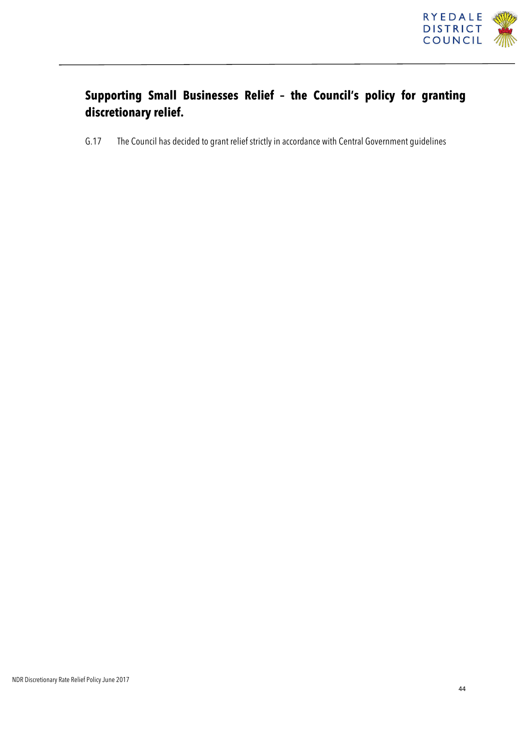

## **Supporting Small Businesses Relief – the Council's policy for granting discretionary relief.**

G.17 The Council has decided to grant relief strictly in accordance with Central Government guidelines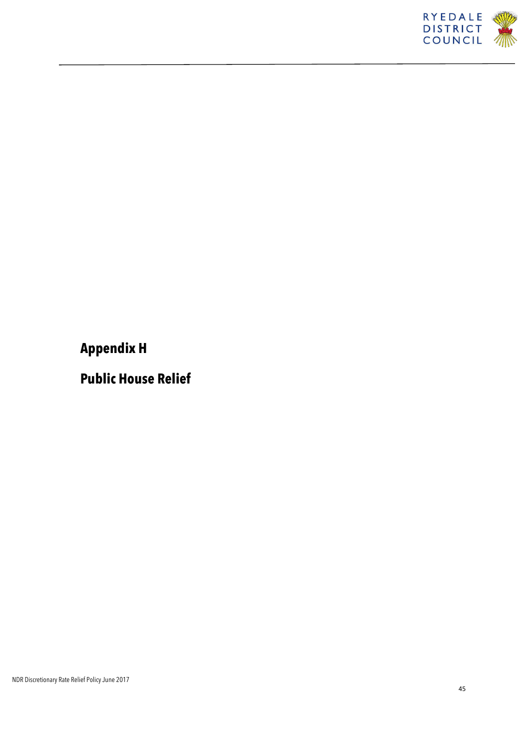

**Appendix H**

**Public House Relief**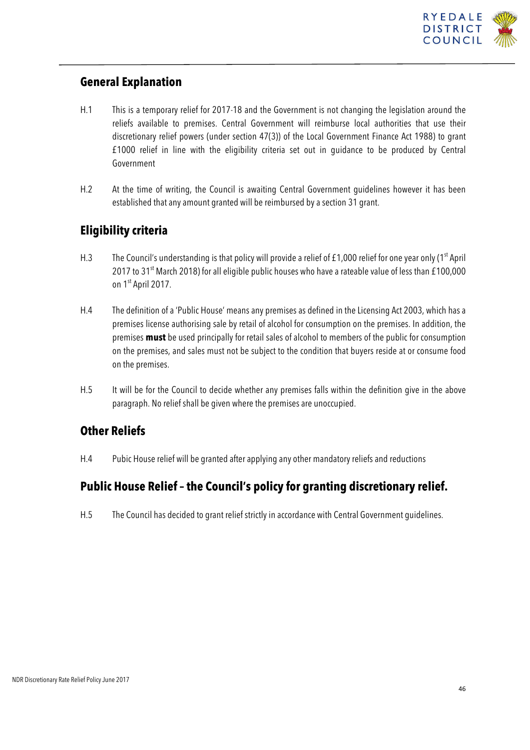

### **General Explanation**

- H.1 This is a temporary relief for 2017-18 and the Government is not changing the legislation around the reliefs available to premises. Central Government will reimburse local authorities that use their discretionary relief powers (under section 47(3)) of the Local Government Finance Act 1988) to grant £1000 relief in line with the eligibility criteria set out in guidance to be produced by Central Government
- H.2 At the time of writing, the Council is awaiting Central Government guidelines however it has been established that any amount granted will be reimbursed by a section 31 grant.

### **Eligibility criteria**

- H.3 The Council's understanding is that policy will provide a relief of £1,000 relief for one year only (1<sup>st</sup> April 2017 to 31<sup>st</sup> March 2018) for all eligible public houses who have a rateable value of less than £100,000 on 1<sup>st</sup> April 2017.
- H.4 The definition of a 'Public House' means any premises as defined in the Licensing Act 2003, which has a premises license authorising sale by retail of alcohol for consumption on the premises. In addition, the premises **must** be used principally for retail sales of alcohol to members of the public for consumption on the premises, and sales must not be subject to the condition that buyers reside at or consume food on the premises.
- H.5 It will be for the Council to decide whether any premises falls within the definition give in the above paragraph. No relief shall be given where the premises are unoccupied.

### **Other Reliefs**

H.4 Pubic House relief will be granted after applying any other mandatory reliefs and reductions

### **Public House Relief – the Council's policy for granting discretionary relief.**

H.5 The Council has decided to grant relief strictly in accordance with Central Government guidelines.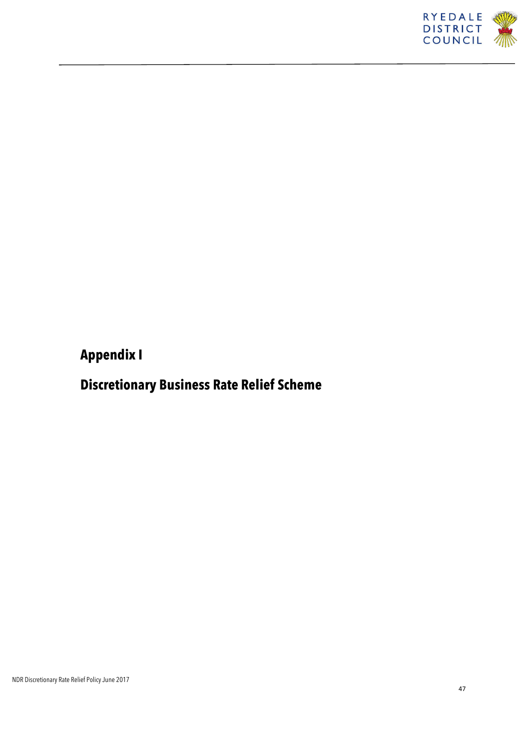

## **Appendix I**

## **Discretionary Business Rate Relief Scheme**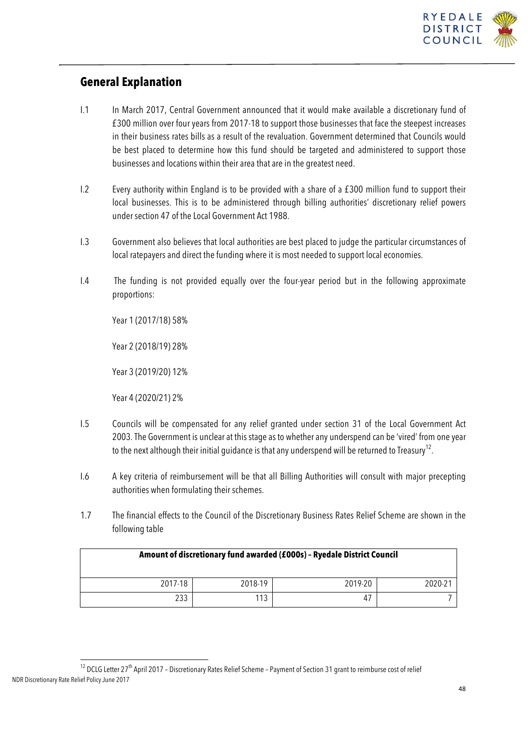

### **General Explanation**

- I.1 In March 2017, Central Government announced that it would make available a discretionary fund of £300 million over four years from 2017-18 to support those businesses that face the steepest increases in their business rates bills as a result of the revaluation. Government determined that Councils would be best placed to determine how this fund should be targeted and administered to support those businesses and locations within their area that are in the greatest need.
- I.2 Every authority within England is to be provided with a share of a £300 million fund to support their local businesses. This is to be administered through billing authorities' discretionary relief powers under section 47 of the Local Government Act 1988.
- I.3 Government also believes that local authorities are best placed to judge the particular circumstances of local ratepayers and direct the funding where it is most needed to support local economies.
- I.4 The funding is not provided equally over the four-year period but in the following approximate proportions:

Year 1 (2017/18) 58%

Year 2 (2018/19) 28%

Year 3 (2019/20) 12%

Year 4 (2020/21) 2%

- I.5 Councils will be compensated for any relief granted under section 31 of the Local Government Act 2003. The Government is unclear at this stage as to whether any underspend can be 'vired' from one year to the next although their initial guidance is that any underspend will be returned to Treasury<sup>12</sup>.
- I.6 A key criteria of reimbursement will be that all Billing Authorities will consult with major precepting authorities when formulating their schemes.
- 1.7 The financial effects to the Council of the Discretionary Business Rates Relief Scheme are shown in the following table

| Amount of discretionary fund awarded (£000s) - Ryedale District Council |         |         |         |
|-------------------------------------------------------------------------|---------|---------|---------|
| 2017-18                                                                 | 2018-19 | 2019-20 | 2020-21 |
| 233                                                                     | 113     | -47     |         |

NDR Discretionary Rate Relief Policy June 2017  $^{12}$  DCLG Letter 27<sup>th</sup> April 2017 – Discretionary Rates Relief Scheme – Payment of Section 31 grant to reimburse cost of relief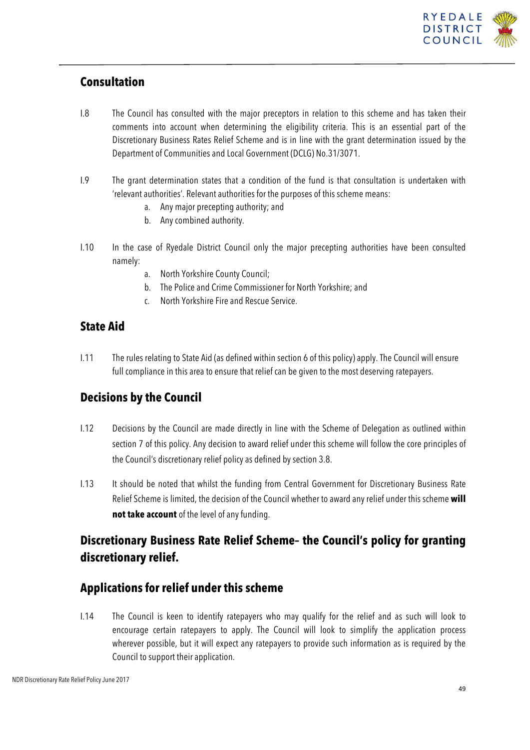

### **Consultation**

- I.8 The Council has consulted with the major preceptors in relation to this scheme and has taken their comments into account when determining the eligibility criteria. This is an essential part of the Discretionary Business Rates Relief Scheme and is in line with the grant determination issued by the Department of Communities and Local Government (DCLG) No.31/3071.
- I.9 The grant determination states that a condition of the fund is that consultation is undertaken with 'relevant authorities'. Relevant authorities for the purposes of this scheme means:
	- a. Any major precepting authority; and
	- b. Any combined authority.
- I.10 In the case of Ryedale District Council only the major precepting authorities have been consulted namely:
	- a. North Yorkshire County Council;
	- b. The Police and Crime Commissioner for North Yorkshire; and
	- c. North Yorkshire Fire and Rescue Service.

### **State Aid**

I.11 The rules relating to State Aid (as defined within section 6 of this policy) apply. The Council will ensure full compliance in this area to ensure that relief can be given to the most deserving ratepayers.

### **Decisions by the Council**

- I.12 Decisions by the Council are made directly in line with the Scheme of Delegation as outlined within section 7 of this policy. Any decision to award relief under this scheme will follow the core principles of the Council's discretionary relief policy as defined by section 3.8.
- I.13 It should be noted that whilst the funding from Central Government for Discretionary Business Rate Relief Scheme is limited, the decision of the Council whether to award any relief under this scheme **will not take account** of the level of any funding.

### **Discretionary Business Rate Relief Scheme– the Council's policy for granting discretionary relief.**

### **Applications for relief under this scheme**

I.14 The Council is keen to identify ratepayers who may qualify for the relief and as such will look to encourage certain ratepayers to apply. The Council will look to simplify the application process wherever possible, but it will expect any ratepayers to provide such information as is required by the Council to support their application.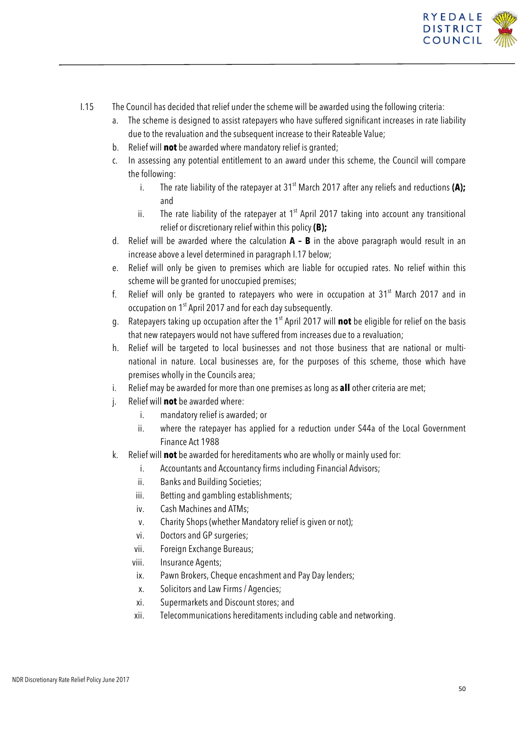

- I.15 The Council has decided that relief under the scheme will be awarded using the following criteria:
	- a. The scheme is designed to assist ratepayers who have suffered significant increases in rate liability due to the revaluation and the subsequent increase to their Rateable Value;
	- b. Relief will **not** be awarded where mandatory relief is granted;
	- c. In assessing any potential entitlement to an award under this scheme, the Council will compare the following:
		- i. The rate liability of the ratepayer at 31<sup>st</sup> March 2017 after any reliefs and reductions (A); and
		- ii. The rate liability of the ratepayer at  $1<sup>st</sup>$  April 2017 taking into account any transitional relief or discretionary relief within this policy **(B);**
	- d. Relief will be awarded where the calculation **A – B** in the above paragraph would result in an increase above a level determined in paragraph I.17 below;
	- e. Relief will only be given to premises which are liable for occupied rates. No relief within this scheme will be granted for unoccupied premises;
	- f. Relief will only be granted to ratepayers who were in occupation at  $31<sup>st</sup>$  March 2017 and in occupation on 1st April 2017 and for each day subsequently.
	- g. Ratepayers taking up occupation after the 1<sup>st</sup> April 2017 will **not** be eligible for relief on the basis that new ratepayers would not have suffered from increases due to a revaluation;
	- h. Relief will be targeted to local businesses and not those business that are national or multinational in nature. Local businesses are, for the purposes of this scheme, those which have premises wholly in the Councils area;
	- i. Relief may be awarded for more than one premises as long as **all** other criteria are met;
	- j. Relief will **not** be awarded where:
		- i. mandatory relief is awarded; or
		- ii. where the ratepayer has applied for a reduction under S44a of the Local Government Finance Act 1988
	- k. Relief will **not** be awarded for hereditaments who are wholly or mainly used for:
		- i. Accountants and Accountancy firms including Financial Advisors;
		- ii. Banks and Building Societies;
		- iii. Betting and gambling establishments;
		- iv. Cash Machines and ATMs;
		- v. Charity Shops (whether Mandatory relief is given or not);
		- vi. Doctors and GP surgeries;
		- vii. Foreign Exchange Bureaus;
		- viii. Insurance Agents;
		- ix. Pawn Brokers, Cheque encashment and Pay Day lenders;
		- x. Solicitors and Law Firms / Agencies;
		- xi. Supermarkets and Discount stores; and
		- xii. Telecommunications hereditaments including cable and networking.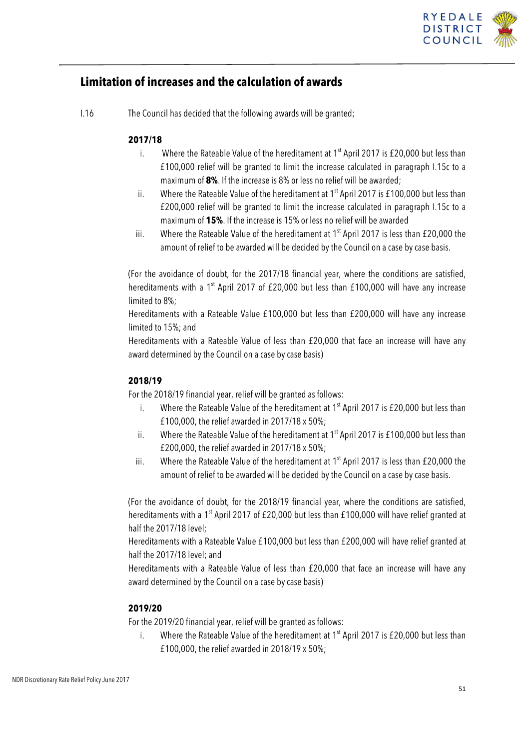

### **Limitation of increases and the calculation of awards**

I.16 The Council has decided that the following awards will be granted;

#### **2017/18**

- i. Where the Rateable Value of the hereditament at  $1<sup>st</sup>$  April 2017 is £20,000 but less than £100,000 relief will be granted to limit the increase calculated in paragraph I.15c to a maximum of **8%**. If the increase is 8% or less no relief will be awarded;
- ii. Where the Rateable Value of the hereditament at  $1<sup>st</sup>$  April 2017 is £100,000 but less than £200,000 relief will be granted to limit the increase calculated in paragraph I.15c to a maximum of **15%**. If the increase is 15% or less no relief will be awarded
- iii. Where the Rateable Value of the hereditament at  $1<sup>st</sup>$  April 2017 is less than £20,000 the amount of relief to be awarded will be decided by the Council on a case by case basis.

(For the avoidance of doubt, for the 2017/18 financial year, where the conditions are satisfied, hereditaments with a  $1<sup>st</sup>$  April 2017 of £20,000 but less than £100,000 will have any increase limited to 8%;

Hereditaments with a Rateable Value £100,000 but less than £200,000 will have any increase limited to 15%; and

Hereditaments with a Rateable Value of less than £20,000 that face an increase will have any award determined by the Council on a case by case basis)

#### **2018/19**

For the 2018/19 financial year, relief will be granted as follows:

- i. Where the Rateable Value of the hereditament at  $1<sup>st</sup>$  April 2017 is £20,000 but less than £100,000, the relief awarded in 2017/18 x 50%;
- ii. Where the Rateable Value of the hereditament at  $1<sup>st</sup>$  April 2017 is £100,000 but less than £200,000, the relief awarded in 2017/18 x 50%;
- iii. Where the Rateable Value of the hereditament at  $1<sup>st</sup>$  April 2017 is less than £20,000 the amount of relief to be awarded will be decided by the Council on a case by case basis.

(For the avoidance of doubt, for the 2018/19 financial year, where the conditions are satisfied, hereditaments with a 1<sup>st</sup> April 2017 of £20,000 but less than £100,000 will have relief granted at half the 2017/18 level;

Hereditaments with a Rateable Value £100,000 but less than £200,000 will have relief granted at half the 2017/18 level; and

Hereditaments with a Rateable Value of less than £20,000 that face an increase will have any award determined by the Council on a case by case basis)

#### **2019/20**

For the 2019/20 financial year, relief will be granted as follows:

i. Where the Rateable Value of the hereditament at  $1<sup>st</sup>$  April 2017 is £20,000 but less than £100,000, the relief awarded in 2018/19 x 50%;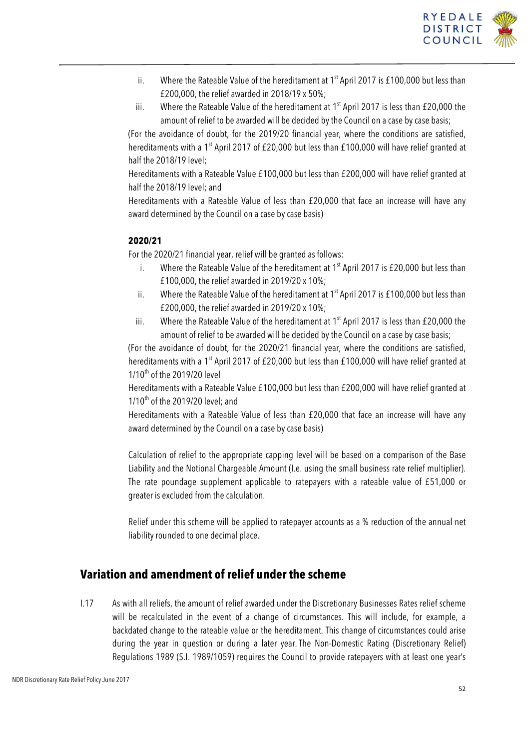

- ii. Where the Rateable Value of the hereditament at  $1<sup>st</sup>$  April 2017 is £100,000 but less than £200,000, the relief awarded in 2018/19 x 50%;
- iii. Where the Rateable Value of the hereditament at  $1<sup>st</sup>$  April 2017 is less than £20,000 the amount of relief to be awarded will be decided by the Council on a case by case basis;

(For the avoidance of doubt, for the 2019/20 financial year, where the conditions are satisfied, hereditaments with a 1<sup>st</sup> April 2017 of £20,000 but less than £100,000 will have relief granted at half the 2018/19 level;

Hereditaments with a Rateable Value £100,000 but less than £200,000 will have relief granted at half the 2018/19 level; and

Hereditaments with a Rateable Value of less than £20,000 that face an increase will have any award determined by the Council on a case by case basis)

#### **2020/21**

For the 2020/21 financial year, relief will be granted as follows:

- i. Where the Rateable Value of the hereditament at  $1<sup>st</sup>$  April 2017 is £20,000 but less than £100,000, the relief awarded in 2019/20 x 10%;
- ii. Where the Rateable Value of the hereditament at  $1<sup>st</sup>$  April 2017 is £100,000 but less than £200,000, the relief awarded in 2019/20 x 10%;
- iii. Where the Rateable Value of the hereditament at  $1<sup>st</sup>$  April 2017 is less than £20,000 the amount of relief to be awarded will be decided by the Council on a case by case basis;

(For the avoidance of doubt, for the 2020/21 financial year, where the conditions are satisfied, hereditaments with a 1<sup>st</sup> April 2017 of £20,000 but less than £100,000 will have relief granted at 1/10<sup>th</sup> of the 2019/20 level

Hereditaments with a Rateable Value £100,000 but less than £200,000 will have relief granted at  $1/10^{th}$  of the 2019/20 level; and

Hereditaments with a Rateable Value of less than £20,000 that face an increase will have any award determined by the Council on a case by case basis)

Calculation of relief to the appropriate capping level will be based on a comparison of the Base Liability and the Notional Chargeable Amount (I.e. using the small business rate relief multiplier). The rate poundage supplement applicable to ratepayers with a rateable value of £51,000 or greater is excluded from the calculation.

Relief under this scheme will be applied to ratepayer accounts as a % reduction of the annual net liability rounded to one decimal place.

### **Variation and amendment of relief under the scheme**

I.17 As with all reliefs, the amount of relief awarded under the Discretionary Businesses Rates relief scheme will be recalculated in the event of a change of circumstances. This will include, for example, a backdated change to the rateable value or the hereditament. This change of circumstances could arise during the year in question or during a later year. The Non-Domestic Rating (Discretionary Relief) Regulations 1989 (S.I. 1989/1059) requires the Council to provide ratepayers with at least one year's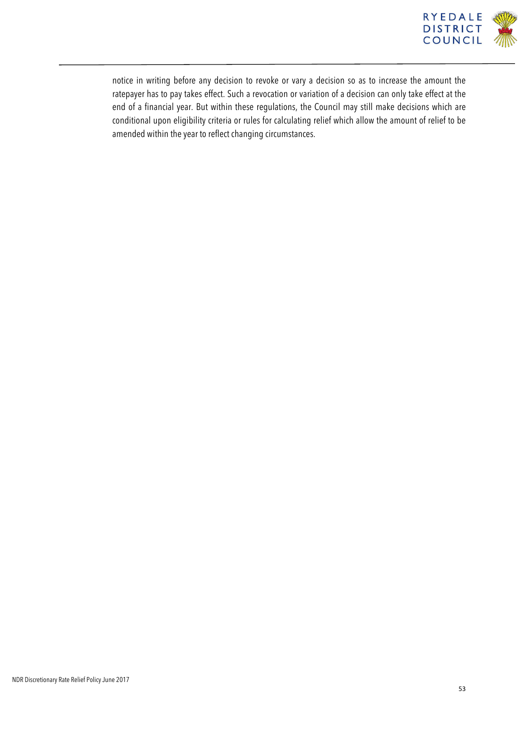

notice in writing before any decision to revoke or vary a decision so as to increase the amount the ratepayer has to pay takes effect. Such a revocation or variation of a decision can only take effect at the end of a financial year. But within these regulations, the Council may still make decisions which are conditional upon eligibility criteria or rules for calculating relief which allow the amount of relief to be amended within the year to reflect changing circumstances.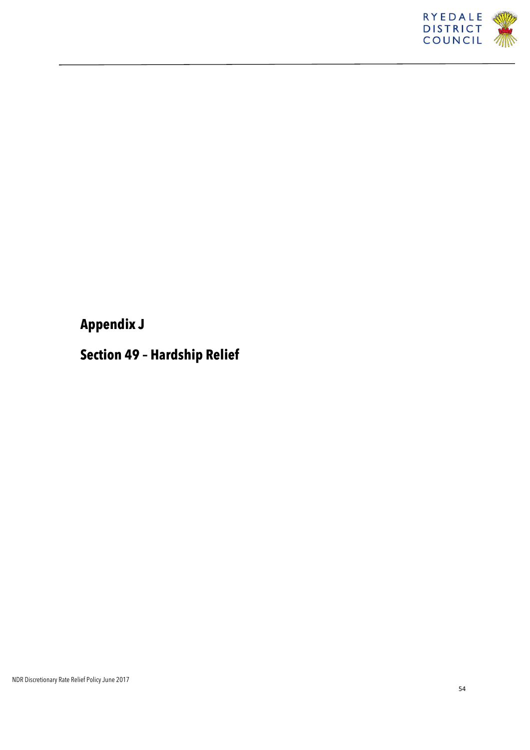

## **Appendix J**

## **Section 49 – Hardship Relief**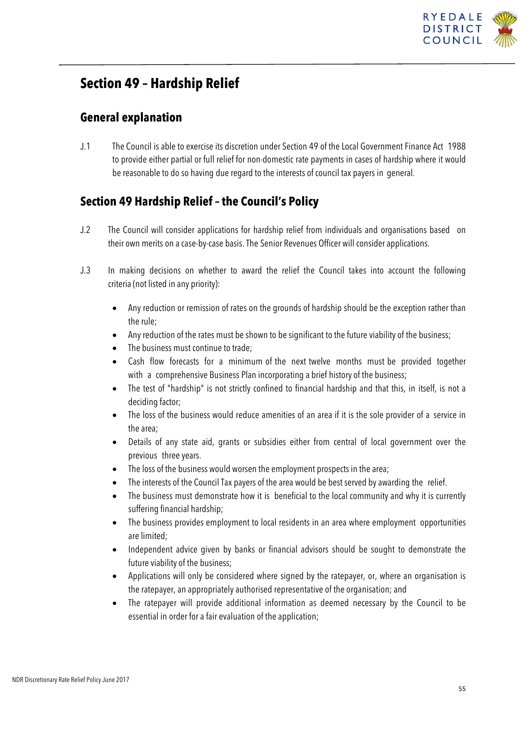

### **Section 49 – Hardship Relief**

### **General explanation**

J.1 The Council is able to exercise its discretion under Section 49 of the Local Government Finance Act 1988 to provide either partial or full relief for non-domestic rate payments in cases of hardship where it would be reasonable to do so having due regard to the interests of council tax payers in general.

### **Section 49 Hardship Relief – the Council's Policy**

- J.2 The Council will consider applications for hardship relief from individuals and organisations based on their own merits on a case-by-case basis. The Senior Revenues Officer will consider applications.
- J.3 In making decisions on whether to award the relief the Council takes into account the following criteria (not listed in any priority):
	- Any reduction or remission of rates on the grounds of hardship should be the exception rather than the rule;
	- Any reduction of the rates must be shown to be significant to the future viability of the business;
	- The business must continue to trade:
	- Cash flow forecasts for a minimum of the next twelve months must be provided together with a comprehensive Business Plan incorporating a brief history of the business;
	- The test of "hardship" is not strictly confined to financial hardship and that this, in itself, is not a deciding factor;
	- The loss of the business would reduce amenities of an area if it is the sole provider of a service in the area;
	- Details of any state aid, grants or subsidies either from central of local government over the previous three years.
	- The loss of the business would worsen the employment prospects in the area;
	- The interests of the Council Tax payers of the area would be best served by awarding the relief.
	- The business must demonstrate how it is beneficial to the local community and why it is currently suffering financial hardship;
	- The business provides employment to local residents in an area where employment opportunities are limited;
	- Independent advice given by banks or financial advisors should be sought to demonstrate the future viability of the business;
	- Applications will only be considered where signed by the ratepayer, or, where an organisation is the ratepayer, an appropriately authorised representative of the organisation; and
	- The ratepayer will provide additional information as deemed necessary by the Council to be essential in order for a fair evaluation of the application;